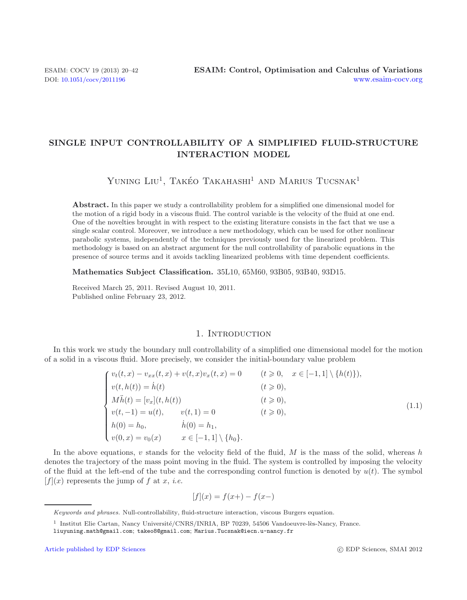# **SINGLE INPUT CONTROLLABILITY OF A SIMPLIFIED FLUID-STRUCTURE INTERACTION MODEL**

YUNING LIU<sup>1</sup>, TAKÉO TAKAHASHI<sup>1</sup> AND MARIUS TUCSNAK<sup>1</sup>

**Abstract.** In this paper we study a controllability problem for a simplified one dimensional model for the motion of a rigid body in a viscous fluid. The control variable is the velocity of the fluid at one end. One of the novelties brought in with respect to the existing literature consists in the fact that we use a single scalar control. Moreover, we introduce a new methodology, which can be used for other nonlinear parabolic systems, independently of the techniques previously used for the linearized problem. This methodology is based on an abstract argument for the null controllability of parabolic equations in the presence of source terms and it avoids tackling linearized problems with time dependent coefficients.

**Mathematics Subject Classification.** 35L10, 65M60, 93B05, 93B40, 93D15.

Received March 25, 2011. Revised August 10, 2011. Published online February 23, 2012.

### <span id="page-0-0"></span>1. INTRODUCTION

In this work we study the boundary null controllability of a simplified one dimensional model for the motion of a solid in a viscous fluid. More precisely, we consider the initial-boundary value problem

| $\int v_t(t,x) - v_{xx}(t,x) + v(t,x)v_x(t,x) = 0$ |                                   |                   | $(t \geq 0, \quad x \in [-1,1] \setminus \{h(t)\}),$ |       |
|----------------------------------------------------|-----------------------------------|-------------------|------------------------------------------------------|-------|
| $v(t, h(t)) = \dot{h}(t)$                          |                                   | $(t\geqslant 0),$ |                                                      |       |
| $\int M\ddot{h}(t) = [v_x](t, h(t))$               |                                   |                   | $(t\geqslant 0),$                                    |       |
| $v(t, -1) = u(t), \qquad v(t, 1) = 0$              |                                   | $(t\geqslant 0),$ |                                                      | (1.1) |
| $h(0) = h_0,$<br>$v(0, x) = v_0(x)$                | $h(0) = h_1,$                     |                   |                                                      |       |
|                                                    | $x \in [-1,1] \setminus \{h_0\}.$ |                   |                                                      |       |

In the above equations, v stands for the velocity field of the fluid,  $M$  is the mass of the solid, whereas h denotes the trajectory of the mass point moving in the fluid. The system is controlled by imposing the velocity of the fluid at the left-end of the tube and the corresponding control function is denoted by  $u(t)$ . The symbol  $[f](x)$  represents the jump of f at x, *i.e.* 

$$
[f](x) = f(x+) - f(x-)
$$

Keywords and phrases. Null-controllability, fluid-structure interaction, viscous Burgers equation.

 $1$  Institut Elie Cartan, Nancy Université/CNRS/INRIA, BP 70239, 54506 Vandoeuvre-lès-Nancy, France.

liuyuning.math@gmail.com; takeo8@gmail.com; Marius.Tucsnak@iecn.u-nancy.fr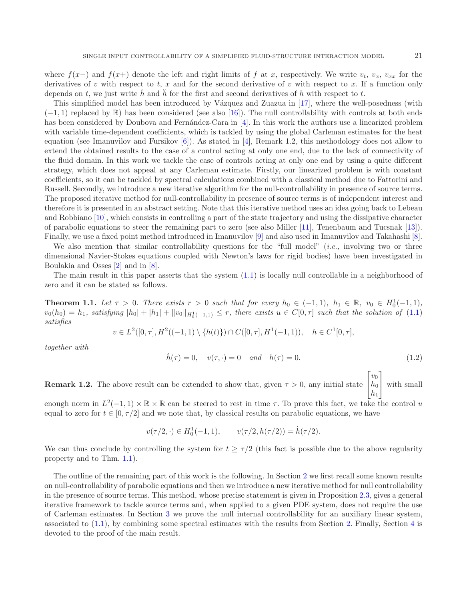where  $f(x-)$  and  $f(x+)$  denote the left and right limits of f at x, respectively. We write  $v_t$ ,  $v_x$ ,  $v_{xx}$  for the derivatives of v with respect to t, x and for the second derivative of v with respect to x. If a function only depends on t, we just write h and h for the first and second derivatives of h with respect to t.

This simplified model has been introduced by Vázquez and Zuazua in [\[17\]](#page-22-0), where the well-posedness (with  $(-1, 1)$  replaced by R) has been considered (see also [\[16\]](#page-22-1)). The null controllability with controls at both ends has been considered by Doubova and Fernández-Cara in [\[4\]](#page-22-2). In this work the authors use a linearized problem with variable time-dependent coefficients, which is tackled by using the global Carleman estimates for the heat equation (see Imanuvilov and Fursikov [\[6](#page-22-3)]). As stated in [\[4\]](#page-22-2), Remark 1.2, this methodology does not allow to extend the obtained results to the case of a control acting at only one end, due to the lack of connectivity of the fluid domain. In this work we tackle the case of controls acting at only one end by using a quite different strategy, which does not appeal at any Carleman estimate. Firstly, our linearized problem is with constant coefficients, so it can be tackled by spectral calculations combined with a classical method due to Fattorini and Russell. Secondly, we introduce a new iterative algorithm for the null-controllability in presence of source terms. The proposed iterative method for null-controllability in presence of source terms is of independent interest and therefore it is presented in an abstract setting. Note that this iterative method uses an idea going back to Lebeau and Robbiano [\[10\]](#page-22-4), which consists in controlling a part of the state trajectory and using the dissipative character of parabolic equations to steer the remaining part to zero (see also Miller [\[11\]](#page-22-5), Tenenbaum and Tucsnak [\[13](#page-22-6)]). Finally, we use a fixed point method introduced in Imanuvilov [\[9\]](#page-22-7) and also used in Imanuvilov and Takahashi [\[8](#page-22-8)].

We also mention that similar controllability questions for the "full model" (*i.e.*, involving two or three dimensional Navier-Stokes equations coupled with Newton's laws for rigid bodies) have been investigated in Boulakia and Osses [\[2\]](#page-22-9) and in [\[8\]](#page-22-8).

<span id="page-1-0"></span>The main result in this paper asserts that the system  $(1.1)$  is locally null controllable in a neighborhood of zero and it can be stated as follows.

**Theorem 1.1.** Let  $\tau > 0$ . There exists  $r > 0$  such that for every  $h_0 \in (-1,1)$ ,  $h_1 \in \mathbb{R}$ ,  $v_0 \in H_0^1(-1,1)$ ,  $v_0(h_0) = h_1$ , satisfying  $|h_0| + |h_1| + ||v_0||_{H_0^1(-1,1)} \leq r$ , there exists  $u \in C[0,\tau]$  such that the solution of  $(1.1)$ *satisfies*

$$
v \in L^2([0, \tau], H^2((-1, 1) \setminus \{h(t)\}) \cap C([0, \tau], H^1(-1, 1)), \quad h \in C^1[0, \tau],
$$

*together with*

$$
\dot{h}(\tau) = 0, \quad v(\tau, \cdot) = 0 \quad and \quad h(\tau) = 0. \tag{1.2}
$$

**Remark 1.2.** The above result can be extended to show that, given  $\tau > 0$ , any initial state  $\sqrt{ }$  $\overline{\phantom{a}}$  $v_0$  $h_0$  $h_1$ ⎤ | with small

enough norm in  $L^2(-1, 1) \times \mathbb{R} \times \mathbb{R}$  can be steered to rest in time  $\tau$ . To prove this fact, we take the control u equal to zero for  $t \in [0, \tau/2]$  and we note that, by classical results on parabolic equations, we have

$$
v(\tau/2, \cdot) \in H_0^1(-1, 1), \qquad v(\tau/2, h(\tau/2)) = \dot{h}(\tau/2).
$$

We can thus conclude by controlling the system for  $t \geq \tau/2$  (this fact is possible due to the above regularity property and to Thm. [1.1\)](#page-1-0).

The outline of the remaining part of this work is the following. In Section [2](#page-2-0) we first recall some known results on null-controllability of parabolic equations and then we introduce a new iterative method for null controllability in the presence of source terms. This method, whose precise statement is given in Proposition [2.3,](#page-4-0) gives a general iterative framework to tackle source terms and, when applied to a given PDE system, does not require the use of Carleman estimates. In Section [3](#page-9-0) we prove the null internal controllability for an auxiliary linear system, associated to [\(1.1\)](#page-0-0), by combining some spectral estimates with the results from Section [2.](#page-2-0) Finally, Section [4](#page-16-0) is devoted to the proof of the main result.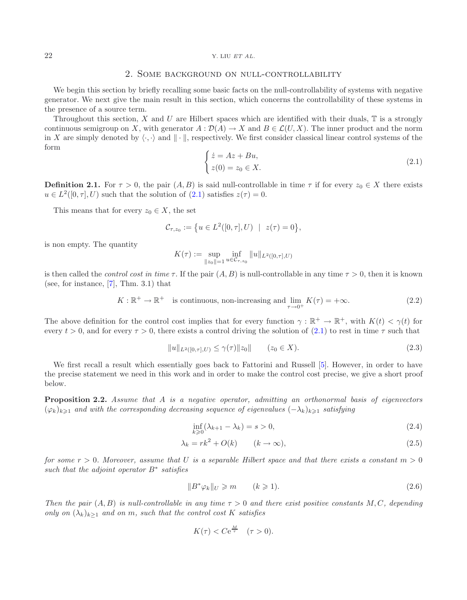#### <span id="page-2-1"></span><span id="page-2-0"></span>22 Y. LIU *ET AL.*

# 2. Some background on null-controllability

We begin this section by briefly recalling some basic facts on the null-controllability of systems with negative generator. We next give the main result in this section, which concerns the controllability of these systems in the presence of a source term.

Throughout this section,  $X$  and  $U$  are Hilbert spaces which are identified with their duals,  $T$  is a strongly continuous semigroup on X, with generator  $A: \mathcal{D}(A) \to X$  and  $B \in \mathcal{L}(U, X)$ . The inner product and the norm in X are simply denoted by  $\langle \cdot, \cdot \rangle$  and  $\|\cdot\|$ , respectively. We first consider classical linear control systems of the form

$$
\begin{cases}\n\dot{z} = Az + Bu, \\
z(0) = z_0 \in X.\n\end{cases}
$$
\n(2.1)

**Definition 2.1.** For  $\tau > 0$ , the pair  $(A, B)$  is said null-controllable in time  $\tau$  if for every  $z_0 \in X$  there exists  $u \in L^2([0, \tau], U)$  such that the solution of  $(2.1)$  satisfies  $z(\tau) = 0$ .

This means that for every  $z_0 \in X$ , the set

$$
\mathcal{C}_{\tau,z_0} := \big\{ u \in L^2([0,\tau],U) \ | \ z(\tau) = 0 \big\},\
$$

is non empty. The quantity

<span id="page-2-2"></span>
$$
K(\tau) := \sup_{\|z_0\|=1} \inf_{u \in C_{\tau,z_0}} \|u\|_{L^2([0,\tau],U)}
$$

is then called the *control cost in time*  $\tau$ . If the pair  $(A, B)$  is null-controllable in any time  $\tau > 0$ , then it is known (see, for instance,  $[7]$  $[7]$ , Thm. 3.1) that

$$
K: \mathbb{R}^+ \to \mathbb{R}^+ \quad \text{is continuous, non-increasing and } \lim_{\tau \to 0^+} K(\tau) = +\infty. \tag{2.2}
$$

The above definition for the control cost implies that for every function  $\gamma : \mathbb{R}^+ \to \mathbb{R}^+$ , with  $K(t) < \gamma(t)$  for every  $t > 0$ , and for every  $\tau > 0$ , there exists a control driving the solution of [\(2.1\)](#page-2-1) to rest in time  $\tau$  such that

<span id="page-2-4"></span><span id="page-2-3"></span>
$$
||u||_{L^{2}([0,\tau],U)} \leq \gamma(\tau)||z_{0}|| \qquad (z_{0} \in X). \tag{2.3}
$$

We first recall a result which essentially goes back to Fattorini and Russell [\[5\]](#page-22-11). However, in order to have the precise statement we need in this work and in order to make the control cost precise, we give a short proof below.

<span id="page-2-5"></span>**Proposition 2.2.** *Assume that* A *is a negative operator, admitting an orthonormal basis of eigenvectors*  $(\varphi_k)_{k\geqslant 1}$  and with the corresponding decreasing sequence of eigenvalues  $(-\lambda_k)_{k\geqslant 1}$  satisfying

$$
\inf_{k\geqslant 0} (\lambda_{k+1} - \lambda_k) = s > 0,
$$
\n
$$
(2.4)
$$

$$
\lambda_k = rk^2 + O(k) \qquad (k \to \infty), \tag{2.5}
$$

*for some* r > 0*. Moreover, assume that* U *is a separable Hilbert space and that there exists a constant* m > 0 *such that the adjoint operator* B<sup>∗</sup> *satisfies*

$$
||B^*\varphi_k||_U \geqslant m \qquad (k \geqslant 1). \tag{2.6}
$$

*Then the pair*  $(A, B)$  *is null-controllable in any time*  $\tau > 0$  *and there exist positive constants* M, C, depending *only on*  $(\lambda_k)_{k>1}$  *and on* m, *such that the control cost* K *satisfies* 

$$
K(\tau) < C\mathrm{e}^{\frac{M}{\tau}} \quad (\tau > 0).
$$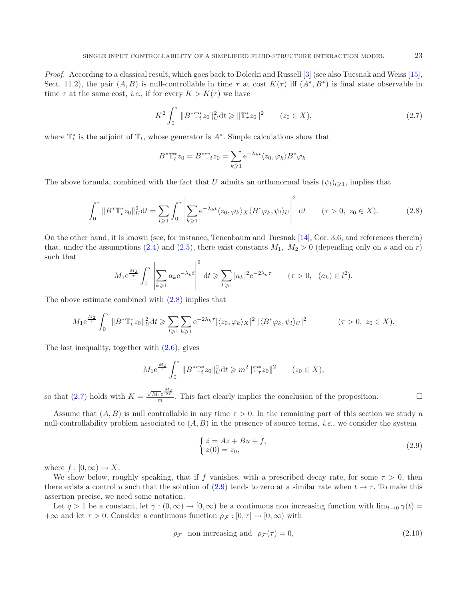*Proof.* According to a classical result, which goes back to Dolecki and Russell [\[3](#page-22-12)] (see also Tucsnak and Weiss [\[15](#page-22-13)], Sect. 11.2), the pair  $(A, B)$  is null-controllable in time  $\tau$  at cost  $K(\tau)$  iff  $(A^*, B^*)$  is final state observable in time  $\tau$  at the same cost, *i.e.*, if for every  $K > K(\tau)$  we have

<span id="page-3-1"></span><span id="page-3-0"></span>
$$
K^{2} \int_{0}^{\tau} \|B^{*} \mathbb{T}_{t}^{*} z_{0}\|_{U}^{2} dt \geq \| \mathbb{T}_{\tau}^{*} z_{0} \|^{2} \qquad (z_{0} \in X), \tag{2.7}
$$

where  $\mathbb{T}_t^*$  is the adjoint of  $\mathbb{T}_t$ , whose generator is  $A^*$ . Simple calculations show that

$$
B^*\mathbb{T}_t^*z_0 = B^*\mathbb{T}_tz_0 = \sum_{k\geq 1} e^{-\lambda_k t} \langle z_0, \varphi_k \rangle B^*\varphi_k.
$$

The above formula, combined with the fact that U admits an orthonormal basis  $(\psi_l)_{l\geqslant1}$ , implies that

$$
\int_0^\tau \|B^*\mathbb{T}_t^* z_0\|_U^2 dt = \sum_{l \ge 1} \int_0^\tau \left| \sum_{k \ge 1} e^{-\lambda_k t} \langle z_0, \varphi_k \rangle_X \langle B^* \varphi_k, \psi_l \rangle_U \right|^2 dt \qquad (\tau > 0, \ z_0 \in X). \tag{2.8}
$$

On the other hand, it is known (see, for instance, Tenenbaum and Tucsnak [\[14\]](#page-22-14), Cor. 3.6, and references therein) that, under the assumptions [\(2.4\)](#page-2-2) and [\(2.5\)](#page-2-3), there exist constants  $M_1$ ,  $M_2 > 0$  (depending only on s and on r) such that

$$
M_1 e^{\frac{M_2}{\tau}} \int_0^{\tau} \left| \sum_{k \ge 1} a_k e^{-\lambda_k t} \right|^2 dt \ge \sum_{k \ge 1} |a_k|^2 e^{-2\lambda_k \tau} \qquad (\tau > 0, \ (a_k) \in l^2).
$$

The above estimate combined with [\(2.8\)](#page-3-0) implies that

$$
M_1 e^{\frac{M_2}{\tau}} \int_0^{\tau} \|B^* \mathbb{T}_t^* z_0\|_{U}^2 dt \geqslant \sum_{l \geqslant 1} \sum_{k \geqslant 1} e^{-2\lambda_k \tau} |\langle z_0, \varphi_k \rangle_X|^2 |\langle B^* \varphi_k, \psi_l \rangle_U|^2 \qquad (\tau > 0, \ z_0 \in X).
$$

The last inequality, together with [\(2.6\)](#page-2-4), gives

$$
M_1 e^{\frac{M_2}{\tau}} \int_0^{\tau} \|B^* \mathbb{T}_t^* z_0\|_U^2 dt \geqslant m^2 \|\mathbb{T}_\tau^* z_0\|^2 \qquad (z_0 \in X),
$$

so that [\(2.7\)](#page-3-1) holds with  $K = \frac{\sqrt{M_1} e^{\frac{M_2}{2\tau}}}{m}$ . This fact clearly implies the conclusion of the proposition.

Assume that  $(A, B)$  is null controllable in any time  $\tau > 0$ . In the remaining part of this section we study a null-controllability problem associated to (A, B) in the presence of source terms, *i.e.*, we consider the system

<span id="page-3-3"></span>
$$
\begin{cases}\n\dot{z} = Az + Bu + f, \\
z(0) = z_0,\n\end{cases}
$$
\n(2.9)

where  $f : [0, \infty) \to X$ .

We show below, roughly speaking, that if f vanishes, with a prescribed decay rate, for some  $\tau > 0$ , then there exists a control u such that the solution of [\(2.9\)](#page-3-2) tends to zero at a similar rate when  $t \to \tau$ . To make this assertion precise, we need some notation.

Let  $q > 1$  be a constant, let  $\gamma : (0, \infty) \to [0, \infty)$  be a continuous non increasing function with  $\lim_{t\to 0} \gamma(t) =$  $+\infty$  and let  $\tau > 0$ . Consider a continuous function  $\rho_{\mathcal{F}} : [0, \tau] \to [0, \infty)$  with

$$
\rho_{\mathcal{F}} \quad \text{non increasing and} \quad \rho_{\mathcal{F}}(\tau) = 0,\tag{2.10}
$$

<span id="page-3-2"></span>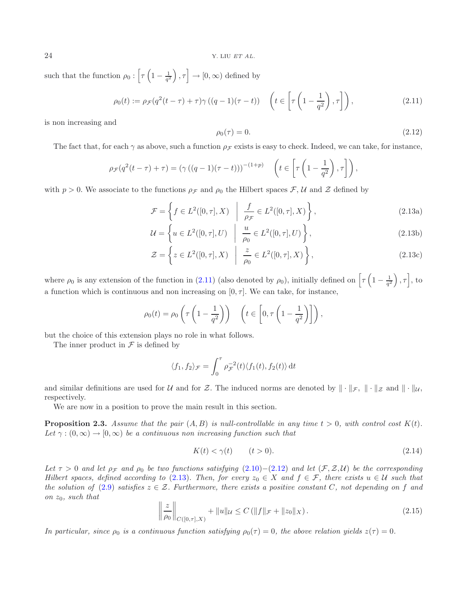<span id="page-4-2"></span>such that the function  $\rho_0$  :  $\left[\tau\left(1-\frac{1}{q^2}\right)\right]$  $\left[\rho, \tau\right] \rightarrow [0, \infty)$  defined by

<span id="page-4-1"></span>
$$
\rho_0(t) := \rho \mathcal{F}(q^2(t-\tau) + \tau) \gamma ((q-1)(\tau - t)) \quad \left( t \in \left[ \tau \left( 1 - \frac{1}{q^2} \right), \tau \right] \right), \tag{2.11}
$$

is non increasing and

<span id="page-4-3"></span>
$$
\rho_0(\tau) = 0. \tag{2.12}
$$

The fact that, for each  $\gamma$  as above, such a function  $\rho_{\mathcal{F}}$  exists is easy to check. Indeed, we can take, for instance,

$$
\rho_{\mathcal{F}}(q^2(t-\tau)+\tau) = (\gamma((q-1)(\tau-t)))^{-(1+p)} \quad \left(t \in \left[\tau\left(1-\frac{1}{q^2}\right), \tau\right]\right),
$$

with  $p > 0$ . We associate to the functions  $\rho_{\mathcal{F}}$  and  $\rho_0$  the Hilbert spaces  $\mathcal{F}, \mathcal{U}$  and  $\mathcal{Z}$  defined by

$$
\mathcal{F} = \left\{ f \in L^2([0, \tau], X) \middle| \frac{f}{\rho_{\mathcal{F}}} \in L^2([0, \tau], X) \right\},\tag{2.13a}
$$

$$
\mathcal{U} = \left\{ u \in L^{2}([0, \tau], U) \middle| \frac{u}{\rho_0} \in L^{2}([0, \tau], U) \right\},\tag{2.13b}
$$

$$
\mathcal{Z} = \left\{ z \in L^2([0, \tau], X) \middle| \frac{z}{\rho_0} \in L^2([0, \tau], X) \right\},\tag{2.13c}
$$

where  $\rho_0$  is any extension of the function in [\(2.11\)](#page-4-1) (also denoted by  $\rho_0$ ), initially defined on  $\left[\tau\left(1-\frac{1}{q^2}\right)\right]$  $\big), \tau \big],$  to a function which is continuous and non increasing on  $[0, \tau]$ . We can take, for instance,

$$
\rho_0(t) = \rho_0 \left( \tau \left( 1 - \frac{1}{q^2} \right) \right) \quad \left( t \in \left[ 0, \tau \left( 1 - \frac{1}{q^2} \right) \right] \right),
$$

but the choice of this extension plays no role in what follows.

The inner product in  $\mathcal F$  is defined by

<span id="page-4-4"></span>
$$
\langle f_1, f_2 \rangle_{\mathcal{F}} = \int_0^{\tau} \rho_{\mathcal{F}}^{-2}(t) \langle f_1(t), f_2(t) \rangle dt
$$

<span id="page-4-5"></span>and similar definitions are used for U and for Z. The induced norms are denoted by  $\|\cdot\|_{\mathcal{F}}$ ,  $\|\cdot\|_{\mathcal{Z}}$  and  $\|\cdot\|_{\mathcal{U}}$ , respectively.

We are now in a position to prove the main result in this section.

<span id="page-4-0"></span>**Proposition 2.3.** Assume that the pair  $(A, B)$  is null-controllable in any time  $t > 0$ , with control cost  $K(t)$ . Let  $\gamma : (0, \infty) \to [0, \infty)$  *be a continuous non increasing function such that* 

$$
K(t) < \gamma(t) \qquad (t > 0). \tag{2.14}
$$

*Let*  $\tau > 0$  *and let*  $\rho_{\mathcal{F}}$  *and*  $\rho_0$  *be two functions satisfying* [\(2.10\)](#page-3-3)−[\(2.12\)](#page-4-2) *and let* ( $\mathcal{F}, \mathcal{Z}, \mathcal{U}$ ) *be the corresponding Hilbert spaces, defined according to* [\(2.13\)](#page-4-3)*. Then, for every*  $z_0 \in X$  *and*  $f \in \mathcal{F}$ *, there exists*  $u \in \mathcal{U}$  *such that the solution of*  $(2.9)$  *satisfies*  $z \in \mathcal{Z}$ *. Furthermore, there exists a positive constant* C, not depending on f and *on* z0*, such that*

$$
\left\| \frac{z}{\rho_0} \right\|_{C([0,\tau],X)} + \|u\|_{\mathcal{U}} \le C \left( \|f\|_{\mathcal{F}} + \|z_0\|_{X} \right). \tag{2.15}
$$

*In particular, since*  $\rho_0$  *is a continuous function satisfying*  $\rho_0(\tau)=0$ *, the above relation yields*  $z(\tau)=0$ *.*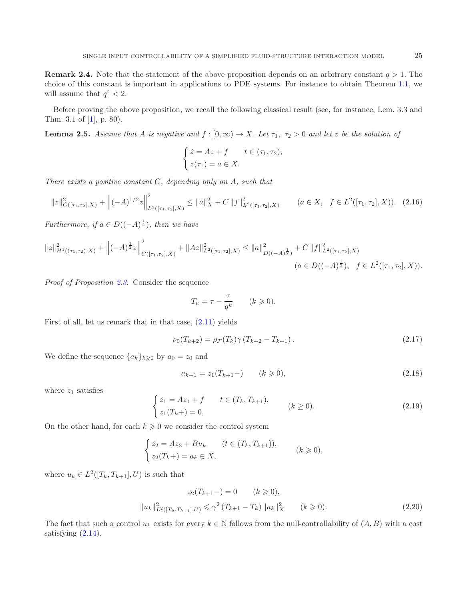<span id="page-5-1"></span>**Remark 2.4.** Note that the statement of the above proposition depends on an arbitrary constant  $q > 1$ . The choice of this constant is important in applications to PDE systems. For instance to obtain Theorem [1.1,](#page-1-0) we will assume that  $q^4 < 2$ .

Before proving the above proposition, we recall the following classical result (see, for instance, Lem. 3.3 and Thm. 3.1 of [\[1\]](#page-22-15), p. 80).

**Lemma 2.5.** *Assume that* A *is negative and*  $f : [0, \infty) \to X$ *. Let*  $\tau_1$ ,  $\tau_2 > 0$  *and let* z *be the solution of* 

<span id="page-5-4"></span>
$$
\begin{cases}\n\dot{z} = Az + f & t \in (\tau_1, \tau_2), \\
z(\tau_1) = a \in X.\n\end{cases}
$$

*There exists a positive constant* C*, depending only on* A*, such that*

$$
||z||_{C([\tau_1,\tau_2],X)}^2 + ||(-A)^{1/2}z||_{L^2([\tau_1,\tau_2],X)}^2 \le ||a||_X^2 + C||f||_{L^2([\tau_1,\tau_2],X)}^2 \qquad (a \in X, \quad f \in L^2([\tau_1,\tau_2],X)). \tag{2.16}
$$

*Furthermore, if*  $a \in D((-A)^{\frac{1}{2}})$ *, then we have* 

$$
||z||_{H^{1}((\tau_{1},\tau_{2}),X)}^{2} + ||(-A)^{\frac{1}{2}}z||_{C([\tau_{1},\tau_{2}],X)}^{2} + ||Az||_{L^{2}([\tau_{1},\tau_{2}],X)}^{2} \leq ||a||_{D((-A)^{\frac{1}{2}})}^{2} + C ||f||_{L^{2}([\tau_{1},\tau_{2}],X)}^{2}
$$
  
( $a \in D((-A)^{\frac{1}{2}}), f \in L^{2}([\tau_{1},\tau_{2}],X)$ ).

<span id="page-5-0"></span>*Proof of Proposition [2.3.](#page-4-0)* Consider the sequence

<span id="page-5-3"></span><span id="page-5-2"></span>
$$
T_k = \tau - \frac{\tau}{q^k} \qquad (k \geqslant 0).
$$

First of all, let us remark that in that case, [\(2.11\)](#page-4-1) yields

$$
\rho_0(T_{k+2}) = \rho_{\mathcal{F}}(T_k)\gamma(T_{k+2} - T_{k+1}). \tag{2.17}
$$

We define the sequence  ${a_k}_{k\geqslant 0}$  by  $a_0 = z_0$  and

$$
a_{k+1} = z_1(T_{k+1} -) \qquad (k \ge 0), \tag{2.18}
$$

where  $z_1$  satisfies

$$
\begin{cases}\n\dot{z}_1 = Az_1 + f & t \in (T_k, T_{k+1}), \\
z_1(T_k+) = 0,\n\end{cases}
$$
\n $(k \ge 0).$ \n(2.19)

On the other hand, for each  $k \geqslant 0$  we consider the control system

$$
\begin{cases} \n\dot{z}_2 = Az_2 + Bu_k & (t \in (T_k, T_{k+1})),\\ \nz_2(T_k+) = a_k \in X, \n\end{cases} \quad (k \geqslant 0),
$$

where  $u_k \in L^2([T_k, T_{k+1}], U)$  is such that

$$
z_2(T_{k+1}) = 0 \t(k \ge 0),
$$
  

$$
||u_k||_{L^2([T_k, T_{k+1}], U)}^2 \le \gamma^2 (T_{k+1} - T_k) ||a_k||_X^2 \t(k \ge 0).
$$
 (2.20)

The fact that such a control  $u_k$  exists for every  $k \in \mathbb{N}$  follows from the null-controllability of  $(A, B)$  with a cost satisfying  $(2.14)$ .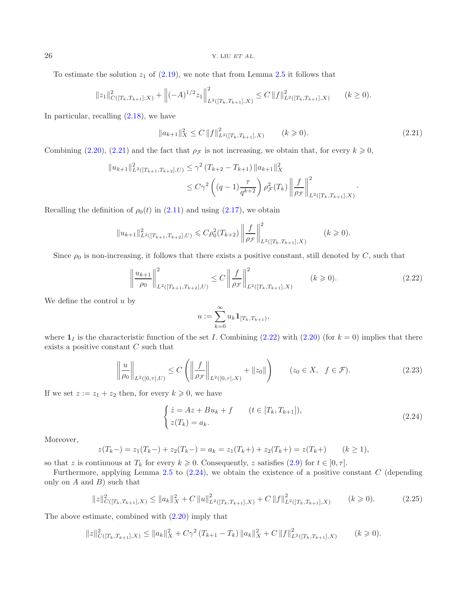To estimate the solution  $z_1$  of  $(2.19)$ , we note that from Lemma [2.5](#page-5-1) it follows that

$$
||z_1||_{C([T_k,T_{k+1}];X)}^2 + ||(-A)^{1/2}z_1||_{L^2([T_k,T_{k+1}],X)}^2 \leq C ||f||_{L^2([T_k,T_{k+1}],X)}^2 \qquad (k \geq 0).
$$

In particular, recalling [\(2.18\)](#page-5-2), we have

<span id="page-6-1"></span>
$$
||a_{k+1}||_X^2 \le C ||f||_{L^2([T_k, T_{k+1}], X)}^2 \qquad (k \ge 0).
$$
 (2.21)

Combining [\(2.20\)](#page-5-3), [\(2.21\)](#page-6-0) and the fact that  $\rho_{\mathcal{F}}$  is not increasing, we obtain that, for every  $k \geqslant 0$ ,

$$
||u_{k+1}||_{L^{2}([T_{k+1},T_{k+2}],U)}^{2} \leq \gamma^{2} (T_{k+2} - T_{k+1}) ||a_{k+1}||_{X}^{2}
$$
  

$$
\leq C\gamma^{2} \left( (q-1)\frac{\tau}{q^{k+2}} \right) \rho_{\mathcal{F}}^{2}(T_{k}) ||\frac{f}{\rho_{\mathcal{F}}}||_{L^{2}([T_{k},T_{k+1}],X)}^{2}.
$$

Recalling the definition of  $\rho_0(t)$  in [\(2.11\)](#page-4-1) and using [\(2.17\)](#page-5-4), we obtain

<span id="page-6-4"></span>
$$
||u_{k+1}||_{L^{2}([T_{k+1},T_{k+2}],U)}^{2} \leqslant C\rho_{0}^{2}(T_{k+2}) \left\|\frac{f}{\rho_{\mathcal{F}}}\right\|_{L^{2}([T_{k},T_{k+1}],X)}^{2} \qquad (k \geqslant 0).
$$

Since  $\rho_0$  is non-increasing, it follows that there exists a positive constant, still denoted by C, such that

<span id="page-6-2"></span>
$$
\left\|\frac{u_{k+1}}{\rho_0}\right\|_{L^2([T_{k+1},T_{k+2}],U)}^2 \le C\left\|\frac{f}{\rho_{\mathcal{F}}}\right\|_{L^2([T_k,T_{k+1}],X)}^2 \qquad (k \ge 0). \tag{2.22}
$$

We define the control  $u$  by

$$
u:=\sum_{k=0}^\infty u_k\mathbf{1}_{[T_k,T_{k+1})},
$$

where  $\mathbf{1}_I$  is the characteristic function of the set I. Combining [\(2.22\)](#page-6-1) with [\(2.20\)](#page-5-3) (for  $k = 0$ ) implies that there exists a positive constant C such that

<span id="page-6-3"></span>
$$
\left\| \frac{u}{\rho_0} \right\|_{L^2([0,\tau],U)} \le C \left( \left\| \frac{f}{\rho_{\mathcal{F}}} \right\|_{L^2([0,\tau],X)} + \|z_0\| \right) \qquad (z_0 \in X, \ \ f \in \mathcal{F}). \tag{2.23}
$$

If we set  $z := z_1 + z_2$  then, for every  $k \geqslant 0$ , we have

$$
\begin{cases}\n\dot{z} = Az + Bu_k + f & (t \in [T_k, T_{k+1}]), \\
z(T_k) = a_k.\n\end{cases}\n\tag{2.24}
$$

Moreover,

$$
z(T_k-) = z_1(T_k-) + z_2(T_k-) = a_k = z_1(T_k+) + z_2(T_k+) = z(T_k+) \qquad (k \ge 1),
$$

so that z is continuous at  $T_k$  for every  $k \geqslant 0$ . Consequently, z satisfies  $(2.9)$  for  $t \in [0, \tau]$ .

Furthermore, applying Lemma [2.5](#page-5-1) to  $(2.24)$ , we obtain the existence of a positive constant C (depending only on  $A$  and  $B$ ) such that

$$
||z||_{C([T_k,T_{k+1}],X)}^2 \le ||a_k||_X^2 + C ||u||_{L^2([T_k,T_{k+1}],X)}^2 + C ||f||_{L^2([T_k,T_{k+1}],X)}^2 \qquad (k \ge 0).
$$
 (2.25)

The above estimate, combined with [\(2.20\)](#page-5-3) imply that

$$
||z||_{C([T_k,T_{k+1}],X)}^2 \le ||a_k||_X^2 + C\gamma^2 (T_{k+1} - T_k) ||a_k||_X^2 + C ||f||_{L^2([T_k,T_{k+1}],X)}^2 \qquad (k \ge 0).
$$

<span id="page-6-0"></span>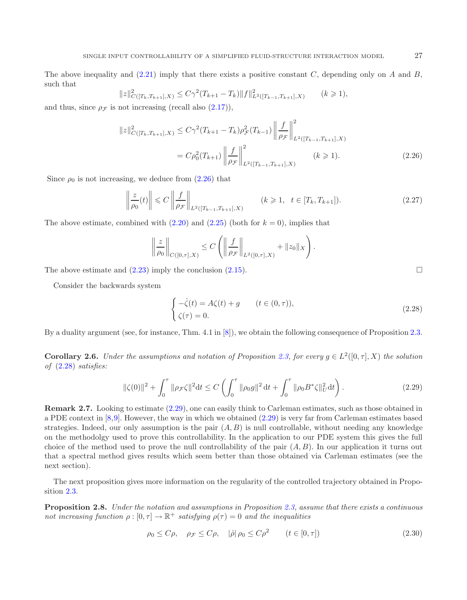The above inequality and  $(2.21)$  imply that there exists a positive constant C, depending only on A and B, such that

$$
||z||_{C([T_k,T_{k+1}],X)}^2 \le C\gamma^2 (T_{k+1} - T_k) ||f||_{L^2([T_{k-1},T_{k+1}],X)}^2 \qquad (k \ge 1),
$$

<span id="page-7-0"></span>and thus, since  $\rho_{\mathcal{F}}$  is not increasing (recall also  $(2.17)$ ),

$$
||z||_{C([T_k, T_{k+1}], X)}^2 \le C\gamma^2 (T_{k+1} - T_k)\rho_{\mathcal{F}}^2(T_{k-1}) \left\| \frac{f}{\rho_{\mathcal{F}}} \right\|_{L^2([T_{k-1}, T_{k+1}], X)}^2
$$
  
=  $C\rho_0^2 (T_{k+1}) \left\| \frac{f}{\rho_{\mathcal{F}}} \right\|_{L^2([T_{k-1}, T_{k+1}], X)}^2$   $(k \ge 1).$  (2.26)

Since  $\rho_0$  is not increasing, we deduce from  $(2.26)$  that

<span id="page-7-1"></span>
$$
\left\| \frac{z}{\rho_0}(t) \right\| \leq C \left\| \frac{f}{\rho_{\mathcal{F}}} \right\|_{L^2([T_{k-1}, T_{k+1}], X)} \qquad (k \geq 1, \ t \in [T_k, T_{k+1}]). \tag{2.27}
$$

<span id="page-7-4"></span>The above estimate, combined with  $(2.20)$  and  $(2.25)$  (both for  $k = 0$ ), implies that

$$
\left\| \frac{z}{\rho_0} \right\|_{C([0,\tau],X)} \leq C \left( \left\| \frac{f}{\rho_{\mathcal{F}}} \right\|_{L^2([0,\tau],X)} + \|z_0\|_X \right).
$$

<span id="page-7-2"></span>The above estimate and  $(2.23)$  imply the conclusion  $(2.15)$ .

Consider the backwards system

<span id="page-7-3"></span>
$$
\begin{cases}\n-\dot{\zeta}(t) = A\zeta(t) + g & (t \in (0, \tau)), \\
\zeta(\tau) = 0.\n\end{cases}
$$
\n(2.28)

By a duality argument (see, for instance, Thm. 4.1 in [\[8\]](#page-22-8)), we obtain the following consequence of Proposition [2.3.](#page-4-0)

**Corollary 2.6.** *Under the assumptions and notation of Proposition [2.3,](#page-4-0) for every*  $g \in L^2([0, \tau], X)$  *the solution of* [\(2.28\)](#page-7-1) *satisfies:*

$$
\|\zeta(0)\|^2 + \int_0^\tau \|\rho_{\mathcal{F}}\zeta\|^2 dt \le C \left( \int_0^\tau \|\rho_0 g\|^2 dt + \int_0^\tau \|\rho_0 B^* \zeta\|_{U}^2 dt \right). \tag{2.29}
$$

**Remark 2.7.** Looking to estimate  $(2.29)$ , one can easily think to Carleman estimates, such as those obtained in a PDE context in [\[8](#page-22-8)[,9](#page-22-7)]. However, the way in which we obtained [\(2.29\)](#page-7-2) is very far from Carleman estimates based strategies. Indeed, our only assumption is the pair  $(A, B)$  is null controllable, without needing any knowledge on the methodolgy used to prove this controllability. In the application to our PDE system this gives the full choice of the method used to prove the null controllability of the pair  $(A, B)$ . In our application it turns out that a spectral method gives results which seem better than those obtained via Carleman estimates (see the next section).

<span id="page-7-5"></span>The next proposition gives more information on the regularity of the controlled trajectory obtained in Proposition [2.3.](#page-4-0)

**Proposition 2.8.** *Under the notation and assumptions in Proposition [2.3,](#page-4-0) assume that there exists a continuous not increasing function*  $\rho : [0, \tau] \to \mathbb{R}^+$  *satisfying*  $\rho(\tau) = 0$  *and the inequalities* 

$$
\rho_0 \le C\rho, \quad \rho_{\mathcal{F}} \le C\rho, \quad |\dot{\rho}| \rho_0 \le C\rho^2 \qquad (t \in [0, \tau]) \tag{2.30}
$$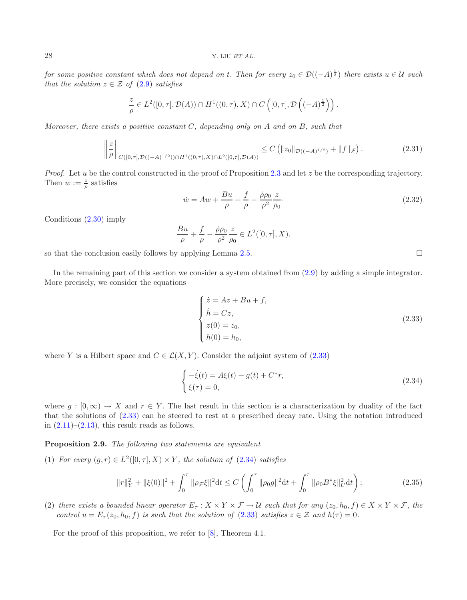$f$ or some positive constant which does not depend on t. Then  $f$ or every  $z_0 \in \mathcal{D}((-A)^{\frac{1}{2}})$  there exists  $u \in \mathcal{U}$  such *that the solution*  $z \in \mathcal{Z}$  *of* [\(2.9\)](#page-3-2) *satisfies* 

$$
\frac{z}{\rho} \in L^2([0,\tau],\mathcal{D}(A)) \cap H^1((0,\tau),X) \cap C\left([0,\tau],\mathcal{D}\left((-A)^{\frac{1}{2}}\right)\right).
$$

*Moreover, there exists a positive constant* C*, depending only on* A *and on* B*, such that*

<span id="page-8-0"></span>
$$
\left\| \frac{z}{\rho} \right\|_{C([0,\tau],\mathcal{D}((-A)^{1/2})) \cap H^1((0,\tau),X) \cap L^2([0,\tau],\mathcal{D}(A))} \leq C \left( \|z_0\|_{\mathcal{D}((-A)^{1/2})} + \|f\|_{\mathcal{F}} \right). \tag{2.31}
$$

*Proof.* Let u be the control constructed in the proof of Proposition [2.3](#page-4-0) and let z be the corresponding trajectory. Then  $w := \frac{z}{\rho}$  satisfies

$$
\dot{w} = Aw + \frac{Bu}{\rho} + \frac{f}{\rho} - \frac{\dot{\rho}\rho_0}{\rho^2} \frac{z}{\rho_0}.
$$
\n(2.32)

Conditions [\(2.30\)](#page-7-3) imply

$$
\frac{Bu}{\rho} + \frac{f}{\rho} - \frac{\dot{\rho}\rho_0}{\rho^2} \frac{z}{\rho_0} \in L^2([0, \tau], X).
$$

so that the conclusion easily follows by applying Lemma [2.5.](#page-5-1)

In the remaining part of this section we consider a system obtained from [\(2.9\)](#page-3-2) by adding a simple integrator. More precisely, we consider the equations

<span id="page-8-1"></span>
$$
\begin{cases}\n\dot{z} = Az + Bu + f, \\
\dot{h} = Cz, \\
z(0) = z_0, \\
h(0) = h_0,\n\end{cases}
$$
\n(2.33)

where Y is a Hilbert space and  $C \in \mathcal{L}(X, Y)$ . Consider the adjoint system of [\(2.33\)](#page-8-0)

$$
\begin{cases}\n-\dot{\xi}(t) = A\xi(t) + g(t) + C^*r, \\
\xi(\tau) = 0,\n\end{cases}
$$
\n(2.34)

where  $g : [0, \infty) \to X$  and  $r \in Y$ . The last result in this section is a characterization by duality of the fact that the solutions of [\(2.33\)](#page-8-0) can be steered to rest at a prescribed decay rate. Using the notation introduced in  $(2.11)$ – $(2.13)$ , this result reads as follows.

<span id="page-8-2"></span>**Proposition 2.9.** *The following two statements are equivalent*

(1) *For every*  $(g, r) \in L^2([0, \tau], X) \times Y$ *, the solution of* [\(2.34\)](#page-8-1) *satisfies* 

$$
||r||_Y^2 + ||\xi(0)||^2 + \int_0^\tau ||\rho_{\mathcal{F}}\xi||^2 dt \le C \left(\int_0^\tau ||\rho_0 g||^2 dt + \int_0^\tau ||\rho_0 B^* \xi||_U^2 dt\right);
$$
\n(2.35)

(2) *there exists a bounded linear operator*  $E_{\tau}: X \times Y \times \mathcal{F} \to \mathcal{U}$  *such that for any*  $(z_0, h_0, f) \in X \times Y \times \mathcal{F}$ *, the control*  $u = E_{\tau}(z_0, h_0, f)$  *is such that the solution of* [\(2.33\)](#page-8-0) *satisfies*  $z \in \mathcal{Z}$  *and*  $h(\tau) = 0$ *.* 

For the proof of this proposition, we refer to [\[8\]](#page-22-8), Theorem 4.1.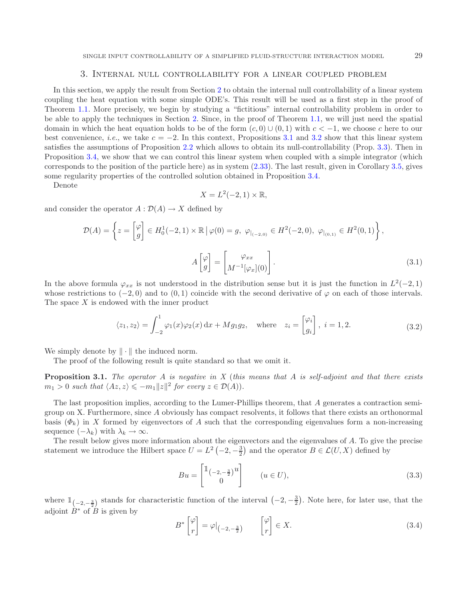#### 3. Internal null controllability for a linear coupled problem

<span id="page-9-4"></span><span id="page-9-0"></span>In this section, we apply the result from Section [2](#page-2-0) to obtain the internal null controllability of a linear system coupling the heat equation with some simple ODE's. This result will be used as a first step in the proof of Theorem [1.1.](#page-1-0) More precisely, we begin by studying a "fictitious" internal controllability problem in order to be able to apply the techniques in Section [2.](#page-2-0) Since, in the proof of Theorem [1.1,](#page-1-0) we will just need the spatial domain in which the heat equation holds to be of the form  $(c, 0) \cup (0, 1)$  with  $c < -1$ , we choose c here to our best convenience, *i.e.*, we take  $c = -2$ . In this context, Propositions [3.1](#page-9-1) and [3.2](#page-9-2) show that this linear system satisfies the assumptions of Proposition [2.2](#page-2-5) which allows to obtain its null-controllability (Prop. [3.3\)](#page-13-0). Then in Proposition [3.4,](#page-13-1) we show that we can control this linear system when coupled with a simple integrator (which corresponds to the position of the particle here) as in system [\(2.33\)](#page-8-0). The last result, given in Corollary [3.5,](#page-16-1) gives some regularity properties of the controlled solution obtained in Proposition [3.4.](#page-13-1)

Denote

<span id="page-9-5"></span>
$$
X = L^2(-2, 1) \times \mathbb{R},
$$

and consider the operator  $A: \mathcal{D}(A) \to X$  defined by

$$
\mathcal{D}(A) = \left\{ z = \begin{bmatrix} \varphi \\ g \end{bmatrix} \in H_0^1(-2, 1) \times \mathbb{R} \, \big| \, \varphi(0) = g, \, \varphi_{|_{(-2, 0)}} \in H^2(-2, 0), \, \varphi_{|_{(0, 1)}} \in H^2(0, 1) \right\},
$$
\n
$$
A \begin{bmatrix} \varphi \\ g \end{bmatrix} = \begin{bmatrix} \varphi_{xx} \\ M^{-1}[\varphi_x](0) \end{bmatrix}.
$$
\n(3.1)

In the above formula  $\varphi_{xx}$  is not understood in the distribution sense but it is just the function in  $L^2(-2, 1)$ whose restrictions to  $(-2,0)$  and to  $(0,1)$  coincide with the second derivative of  $\varphi$  on each of those intervals. The space  $X$  is endowed with the inner product

$$
\langle z_1, z_2 \rangle = \int_{-2}^1 \varphi_1(x) \varphi_2(x) dx + Mg_1g_2, \quad \text{where} \quad z_i = \begin{bmatrix} \varphi_i \\ g_i \end{bmatrix}, \ i = 1, 2. \tag{3.2}
$$

<span id="page-9-1"></span>We simply denote by  $\|\cdot\|$  the induced norm.

The proof of the following result is quite standard so that we omit it.

**Proposition 3.1.** *The operator* A *is negative in X* (*this means that* A *is self-adjoint and that there exists*  $m_1 > 0$  such that  $\langle Az, z \rangle \leq -m_1 ||z||^2$  for every  $z \in \mathcal{D}(A)$ .

<span id="page-9-3"></span>The last proposition implies, according to the Lumer-Phillips theorem, that A generates a contraction semigroup on X. Furthermore, since A obviously has compact resolvents, it follows that there exists an orthonormal basis  $(\Phi_k)$  in X formed by eigenvectors of A such that the corresponding eigenvalues form a non-increasing sequence  $(-\lambda_k)$  with  $\lambda_k \to \infty$ .

The result below gives more information about the eigenvectors and the eigenvalues of A. To give the precise statement we introduce the Hilbert space  $U = L^2(-2, -\frac{3}{2})$  and the operator  $B \in \mathcal{L}(U, X)$  defined by

$$
Bu = \begin{bmatrix} \mathbb{1}_{\left(-2, -\frac{3}{2}\right)} u \\ 0 \end{bmatrix} \qquad (u \in U), \tag{3.3}
$$

<span id="page-9-2"></span>where  $\mathbb{1}_{(-2,-\frac{3}{2})}$  stands for characteristic function of the interval  $(-2,-\frac{3}{2})$ . Note here, for later use, that the adjoint  $\dot{B}^*$  of  $\dot{B}$  is given by

$$
B^* \begin{bmatrix} \varphi \\ r \end{bmatrix} = \varphi|_{\left(-2, -\frac{3}{2}\right)} \qquad \begin{bmatrix} \varphi \\ r \end{bmatrix} \in X. \tag{3.4}
$$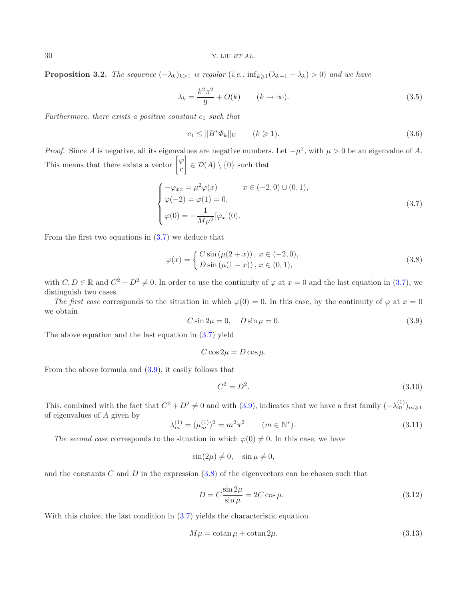30 Y. LIU *ET AL.*

**Proposition 3.2.** *The sequence*  $(-\lambda_k)_{k\geq 1}$  *is regular*  $(i.e., inf_{k\geq 1}(\lambda_{k+1} - \lambda_k) > 0)$  *and we have* 

<span id="page-10-6"></span><span id="page-10-5"></span><span id="page-10-0"></span>
$$
\lambda_k = \frac{k^2 \pi^2}{9} + O(k) \qquad (k \to \infty). \tag{3.5}
$$

*Furthermore, there exists a positive constant*  $c_1$  *such that* 

<span id="page-10-2"></span>
$$
c_1 \le ||B^*\Phi_k||_U \qquad (k \ge 1). \tag{3.6}
$$

<span id="page-10-1"></span>*Proof.* Since A is negative, all its eigenvalues are negative numbers. Let  $-\mu^2$ , with  $\mu > 0$  be an eigenvalue of A. This means that there exists a vector  $\begin{bmatrix} \varphi \\ \pi \end{bmatrix}$ r 1  $\in \mathcal{D}(A) \setminus \{0\}$  such that

$$
\begin{cases}\n-\varphi_{xx} = \mu^2 \varphi(x) & x \in (-2, 0) \cup (0, 1), \\
\varphi(-2) = \varphi(1) = 0, \\
\varphi(0) = -\frac{1}{M\mu^2} [\varphi_x](0).\n\end{cases}
$$
\n(3.7)

From the first two equations in  $(3.7)$  we deduce that

<span id="page-10-7"></span>
$$
\varphi(x) = \begin{cases} C \sin(\mu(2+x)), & x \in (-2,0), \\ D \sin(\mu(1-x)), & x \in (0,1), \end{cases}
$$
\n(3.8)

with  $C, D \in \mathbb{R}$  and  $C^2 + D^2 \neq 0$ . In order to use the continuity of  $\varphi$  at  $x = 0$  and the last equation in [\(3.7\)](#page-10-0), we distinguish two cases.

<span id="page-10-4"></span>*The first case* corresponds to the situation in which  $\varphi(0) = 0$ . In this case, by the continuity of  $\varphi$  at  $x = 0$ we obtain

$$
C\sin 2\mu = 0, \quad D\sin \mu = 0. \tag{3.9}
$$

The above equation and the last equation in [\(3.7\)](#page-10-0) yield

$$
C\cos 2\mu = D\cos \mu.
$$

From the above formula and [\(3.9\)](#page-10-1), it easily follows that

<span id="page-10-8"></span><span id="page-10-3"></span>
$$
C^2 = D^2. \t\t(3.10)
$$

This, combined with the fact that  $C^2 + D^2 \neq 0$  and with [\(3.9\)](#page-10-1), indicates that we have a first family  $(-\lambda_m^{(1)})_{m \geq 1}$ of eigenvalues of A given by

$$
\lambda_m^{(1)} = (\mu_m^{(1)})^2 = m^2 \pi^2 \qquad (m \in \mathbb{N}^*).
$$
\n(3.11)

*The second case* corresponds to the situation in which  $\varphi(0) \neq 0$ . In this case, we have

$$
\sin(2\mu) \neq 0, \quad \sin \mu \neq 0,
$$

and the constants C and D in the expression  $(3.8)$  of the eigenvectors can be chosen such that

$$
D = C \frac{\sin 2\mu}{\sin \mu} = 2C \cos \mu.
$$
\n(3.12)

With this choice, the last condition in  $(3.7)$  yields the characteristic equation

$$
M\mu = \cot \mu + \cot \mu 2\mu. \tag{3.13}
$$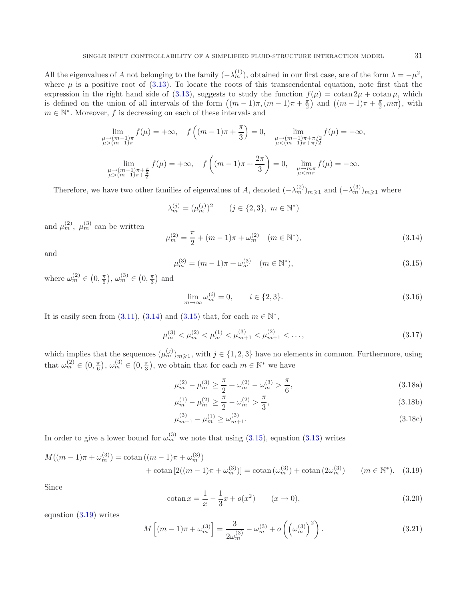<span id="page-11-1"></span>All the eigenvalues of A not belonging to the family  $(-\lambda_m^{(1)})$ , obtained in our first case, are of the form  $\lambda = -\mu^2$ , where  $\mu$  is a positive root of [\(3.13\)](#page-10-3). To locate the roots of this transcendental equation, note first that the expression in the right hand side of [\(3.13\)](#page-10-3), suggests to study the function  $f(\mu) = \cot \frac{2\mu}{\pi} + \cot \mu$ , which is defined on the union of all intervals of the form  $((m-1)\pi,(m-1)\pi+\frac{\pi}{2})$  and  $((m-1)\pi+\frac{\pi}{2},m\pi)$ , with  $m \in \mathbb{N}^*$ . Moreover, f is decreasing on each of these intervals and

<span id="page-11-5"></span><span id="page-11-0"></span>
$$
\lim_{\substack{\mu \to (m-1)\pi \\ \mu > (m-1)\pi}} f(\mu) = +\infty, \quad f\left((m-1)\pi + \frac{\pi}{3}\right) = 0, \quad \lim_{\substack{\mu \to (m-1)\pi + \pi/2 \\ \mu < (m-1)\pi + \pi/2}} f(\mu) = -\infty,
$$
\n
$$
\lim_{\substack{\mu \to (m-1)\pi + \frac{\pi}{2} \\ \mu > (m-1)\pi + \frac{\pi}{2}}} f(\mu) = +\infty, \quad f\left((m-1)\pi + \frac{2\pi}{3}\right) = 0, \quad \lim_{\substack{\mu \to m\pi \\ \mu < m\pi}} f(\mu) = -\infty.
$$

Therefore, we have two other families of eigenvalues of A, denoted  $(-\lambda_m^{(2)})_{m\geqslant1}$  and  $(-\lambda_m^{(3)})_{m\geqslant1}$  where

<span id="page-11-3"></span>
$$
\lambda_m^{(j)} = (\mu_m^{(j)})^2 \qquad (j \in \{2, 3\}, \ m \in \mathbb{N}^*)
$$

and  $\mu_m^{(2)}$ ,  $\mu_m^{(3)}$  can be written

$$
\mu_m^{(2)} = \frac{\pi}{2} + (m - 1)\pi + \omega_m^{(2)} \quad (m \in \mathbb{N}^*),
$$
\n(3.14)

and

<span id="page-11-4"></span>
$$
\mu_m^{(3)} = (m-1)\pi + \omega_m^{(3)} \quad (m \in \mathbb{N}^*),
$$
\n(3.15)

where  $\omega_m^{(2)} \in (0, \frac{\pi}{6}), \omega_m^{(3)} \in (0, \frac{\pi}{3})$  and

<span id="page-11-2"></span>
$$
\lim_{m \to \infty} \omega_m^{(i)} = 0, \qquad i \in \{2, 3\}.
$$
\n
$$
(3.16)
$$

It is easily seen from  $(3.11)$ ,  $(3.14)$  and  $(3.15)$  that, for each  $m \in \mathbb{N}^*$ ,

$$
\mu_m^{(3)} < \mu_m^{(2)} < \mu_m^{(1)} < \mu_{m+1}^{(3)} < \mu_{m+1}^{(2)} < \dots,\tag{3.17}
$$

which implies that the sequences  $(\mu_m^{(j)})_{m\geqslant1}$ , with  $j \in \{1,2,3\}$  have no elements in common. Furthermore, using that  $\omega_m^{(2)} \in \left(0, \frac{\pi}{6}\right), \omega_m^{(3)} \in \left(0, \frac{\pi}{3}\right)$ , we obtain that for each  $m \in \mathbb{N}^*$  we have

$$
\mu_m^{(2)} - \mu_m^{(3)} \ge \frac{\pi}{2} + \omega_m^{(2)} - \omega_m^{(3)} > \frac{\pi}{6},\tag{3.18a}
$$

$$
\mu_m^{(1)} - \mu_m^{(2)} \ge \frac{\pi}{2} - \omega_m^{(2)} > \frac{\pi}{3},\tag{3.18b}
$$

$$
\mu_{m+1}^{(3)} - \mu_m^{(1)} \ge \omega_{m+1}^{(3)}.\tag{3.18c}
$$

In order to give a lower bound for  $\omega_m^{(3)}$  we note that using [\(3.15\)](#page-11-1), equation [\(3.13\)](#page-10-3) writes

$$
M((m-1)\pi + \omega_m^{(3)}) = \cotan((m-1)\pi + \omega_m^{(3)})
$$
  
+  $\cotan[2((m-1)\pi + \omega_m^{(3)})] = \cotan(\omega_m^{(3)}) + \cotan(2\omega_m^{(3)})$   $(m \in \mathbb{N}^*).$  (3.19)

Since

$$
\cot \left( x \right) = \frac{1}{x} - \frac{1}{3}x + o(x^2) \qquad (x \to 0),
$$
\n(3.20)

equation [\(3.19\)](#page-11-2) writes

$$
M\left[ (m-1)\pi + \omega_m^{(3)} \right] = \frac{3}{2\omega_m^{(3)}} - \omega_m^{(3)} + o\left( \left( \omega_m^{(3)} \right)^2 \right). \tag{3.21}
$$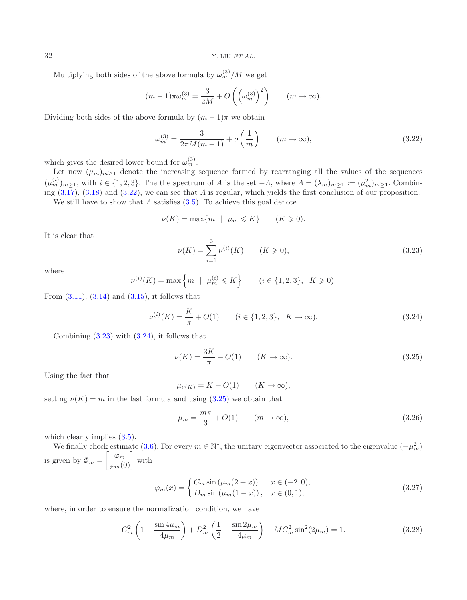32 Y. LIU *ET AL.*

Multiplying both sides of the above formula by  $\omega_m^{(3)}/M$  we get

<span id="page-12-0"></span>
$$
(m-1)\pi\omega_m^{(3)} = \frac{3}{2M} + O\left(\left(\omega_m^{(3)}\right)^2\right) \qquad (m \to \infty).
$$

<span id="page-12-1"></span>Dividing both sides of the above formula by  $(m-1)\pi$  we obtain

$$
\omega_m^{(3)} = \frac{3}{2\pi M(m-1)} + o\left(\frac{1}{m}\right) \qquad (m \to \infty),\tag{3.22}
$$

which gives the desired lower bound for  $\omega_m^{(3)}$ .

Let now  $(\mu_m)_{m\geq 1}$  denote the increasing sequence formed by rearranging all the values of the sequences  $(\mu_m^{(i)})_{m\geq 1}$ , with  $i \in \{1,2,3\}$ . The the spectrum of A is the set  $-A$ , where  $\Lambda = (\lambda_m)_{m\geq 1} := (\mu_m^2)_{m\geq 1}$ . Combining  $(3.17)$ ,  $(3.18)$  and  $(3.22)$ , we can see that  $\Lambda$  is regular, which yields the first conclusion of our proposition. We still have to show that  $\Lambda$  satisfies [\(3.5\)](#page-10-5). To achieve this goal denote

> <span id="page-12-3"></span><span id="page-12-2"></span> $\nu(K) = \max\{m \mid \mu_m \leqslant K\}$  $(K \geqslant 0).$

It is clear that

<span id="page-12-4"></span>
$$
\nu(K) = \sum_{i=1}^{3} \nu^{(i)}(K) \qquad (K \ge 0),
$$
\n(3.23)

where

$$
\nu^{(i)}(K) = \max\left\{m \mid \mu_m^{(i)} \leq K\right\} \qquad (i \in \{1, 2, 3\}, \ K \geq 0).
$$

From  $(3.11)$ ,  $(3.14)$  and  $(3.15)$ , it follows that

$$
\nu^{(i)}(K) = \frac{K}{\pi} + O(1) \qquad (i \in \{1, 2, 3\}, \ K \to \infty). \tag{3.24}
$$

Combining  $(3.23)$  with  $(3.24)$ , it follows that

$$
\nu(K) = \frac{3K}{\pi} + O(1) \qquad (K \to \infty). \tag{3.25}
$$

Using the fact that

<span id="page-12-5"></span>
$$
\mu_{\nu(K)} = K + O(1) \qquad (K \to \infty),
$$

setting  $\nu(K) = m$  in the last formula and using  $(3.25)$  we obtain that

$$
\mu_m = \frac{m\pi}{3} + O(1) \qquad (m \to \infty), \tag{3.26}
$$

which clearly implies  $(3.5)$ .

We finally check estimate [\(3.6\)](#page-10-6). For every  $m \in \mathbb{N}^*$ , the unitary eigenvector associated to the eigenvalue  $(-\mu_m^2)$ is given by  $\Phi_m = \begin{bmatrix} \varphi_m \\ \varphi_m(0) \end{bmatrix}$  with

$$
\varphi_m(x) = \begin{cases} C_m \sin(\mu_m(2+x)), & x \in (-2,0), \\ D_m \sin(\mu_m(1-x)), & x \in (0,1), \end{cases}
$$
(3.27)

where, in order to ensure the normalization condition, we have

$$
C_m^2 \left( 1 - \frac{\sin 4\mu_m}{4\mu_m} \right) + D_m^2 \left( \frac{1}{2} - \frac{\sin 2\mu_m}{4\mu_m} \right) + MC_m^2 \sin^2(2\mu_m) = 1. \tag{3.28}
$$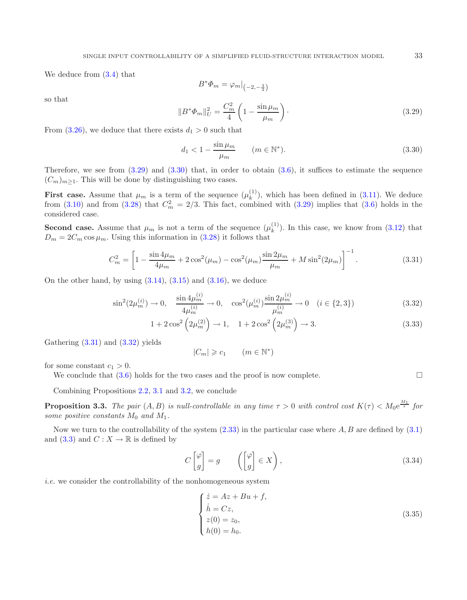<span id="page-13-2"></span>We deduce from [\(3.4\)](#page-9-3) that

<span id="page-13-4"></span><span id="page-13-3"></span>
$$
B^*\Phi_m = \varphi_m|_{\left(-2, -\frac{3}{2}\right)}
$$

so that

$$
||B^*\Phi_m||_U^2 = \frac{C_m^2}{4} \left(1 - \frac{\sin \mu_m}{\mu_m}\right).
$$
 (3.29)

From [\(3.26\)](#page-12-4), we deduce that there exists  $d_1 > 0$  such that

$$
d_1 < 1 - \frac{\sin \mu_m}{\mu_m} \qquad (m \in \mathbb{N}^*). \tag{3.30}
$$

Therefore, we see from  $(3.29)$  and  $(3.30)$  that, in order to obtain  $(3.6)$ , it suffices to estimate the sequence  $(C_m)_{m>1}$ . This will be done by distinguishing two cases.

**First case.** Assume that  $\mu_m$  is a term of the sequence  $(\mu_k^{(1)})$ , which has been defined in [\(3.11\)](#page-10-4). We deduce from [\(3.10\)](#page-10-7) and from [\(3.28\)](#page-12-5) that  $C_m^2 = 2/3$ . This fact, combined with [\(3.29\)](#page-13-2) implies that [\(3.6\)](#page-10-6) holds in the considered case.

**Second case.** Assume that  $\mu_m$  is not a term of the sequence  $(\mu_k^{(1)})$ . In this case, we know from [\(3.12\)](#page-10-8) that  $D_m = 2C_m \cos \mu_m$ . Using this information in [\(3.28\)](#page-12-5) it follows that

$$
C_m^2 = \left[1 - \frac{\sin 4\mu_m}{4\mu_m} + 2\cos^2(\mu_m) - \cos^2(\mu_m)\frac{\sin 2\mu_m}{\mu_m} + M\sin^2(2\mu_m)\right]^{-1}.\tag{3.31}
$$

On the other hand, by using  $(3.14)$ ,  $(3.15)$  and  $(3.16)$ , we deduce

$$
\sin^2(2\mu_m^{(i)}) \to 0, \quad \frac{\sin 4\mu_m^{(i)}}{4\mu_m^{(i)}} \to 0, \quad \cos^2(\mu_m^{(i)}) \frac{\sin 2\mu_m^{(i)}}{\mu_m^{(i)}} \to 0 \quad (i \in \{2, 3\})
$$
\n(3.32)

<span id="page-13-7"></span><span id="page-13-0"></span>
$$
1 + 2\cos^2\left(2\mu_m^{(2)}\right) \to 1, \quad 1 + 2\cos^2\left(2\mu_m^{(3)}\right) \to 3. \tag{3.33}
$$

Gathering  $(3.31)$  and  $(3.32)$  yields

<span id="page-13-6"></span>
$$
|C_m| \geqslant c_1 \qquad (m \in \mathbb{N}^*)
$$

for some constant  $c_1 > 0$ .

We conclude that  $(3.6)$  holds for the two cases and the proof is now complete.

Combining Propositions [2.2,](#page-2-5) [3.1](#page-9-1) and [3.2,](#page-9-2) we conclude

**Proposition 3.3.** The pair  $(A, B)$  is null-controllable in any time  $\tau > 0$  with control cost  $K(\tau) < M_0 e^{\frac{M_1}{\tau}}$  for *some positive constants*  $M_0$  *and*  $M_1$ *.* 

Now we turn to the controllability of the system  $(2.33)$  in the particular case where A, B are defined by  $(3.1)$ and [\(3.3\)](#page-9-5) and  $C: X \to \mathbb{R}$  is defined by

$$
C\begin{bmatrix} \varphi \\ g \end{bmatrix} = g \qquad \left( \begin{bmatrix} \varphi \\ g \end{bmatrix} \in X \right), \tag{3.34}
$$

<span id="page-13-1"></span>*i.e.* we consider the controllability of the nonhomogeneous system

$$
\begin{cases}\n\dot{z} = Az + Bu + f, \\
\dot{h} = Cz, \\
z(0) = z_0, \\
h(0) = h_0.\n\end{cases}
$$
\n(3.35)

<span id="page-13-5"></span>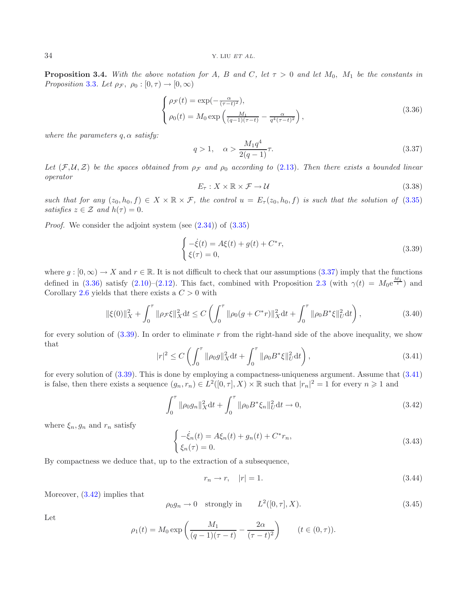<span id="page-14-0"></span>**Proposition 3.4.** With the above notation for A, B and C, let  $\tau > 0$  and let  $M_0$ ,  $M_1$  be the constants in *Proposition* [3.3](#page-13-0)*. Let*  $\rho_{\mathcal{F}}$ ,  $\rho_0 : [0, \tau) \rightarrow [0, \infty)$ 

<span id="page-14-2"></span><span id="page-14-1"></span>
$$
\begin{cases}\n\rho_{\mathcal{F}}(t) = \exp\left(-\frac{\alpha}{(\tau - t)^2}\right), \\
\rho_0(t) = M_0 \exp\left(\frac{M_1}{(q - 1)(\tau - t)} - \frac{\alpha}{q^4(\tau - t)^2}\right),\n\end{cases} \tag{3.36}
$$

*where the parameters*  $q, \alpha$  *satisfy:* 

$$
q > 1, \quad \alpha > \frac{M_1 q^4}{2(q-1)} \tau.
$$
\n(3.37)

Let  $(F, U, Z)$  be the spaces obtained from  $\rho_F$  and  $\rho_0$  according to [\(2.13\)](#page-4-3). Then there exists a bounded linear *operator*

<span id="page-14-6"></span>
$$
E_{\tau}: X \times \mathbb{R} \times \mathcal{F} \to \mathcal{U}
$$
\n
$$
(3.38)
$$

*such that for any*  $(z_0, h_0, f) \in X \times \mathbb{R} \times \mathcal{F}$ , the control  $u = E_\tau(z_0, h_0, f)$  *is such that the solution of* [\(3.35\)](#page-13-6) *satisfies*  $z \in \mathcal{Z}$  *and*  $h(\tau)=0$ *.* 

<span id="page-14-3"></span>*Proof.* We consider the adjoint system (see  $(2.34)$ ) of  $(3.35)$ 

<span id="page-14-4"></span>
$$
\begin{cases}\n-\dot{\xi}(t) = A\xi(t) + g(t) + C^*r, \\
\xi(\tau) = 0,\n\end{cases}
$$
\n(3.39)

where  $g : [0, \infty) \to X$  and  $r \in \mathbb{R}$ . It is not difficult to check that our assumptions  $(3.37)$  imply that the functions defined in [\(3.36\)](#page-14-1) satisfy [\(2.10\)](#page-3-3)–[\(2.12\)](#page-4-2). This fact, combined with Proposition [2.3](#page-4-0) (with  $\gamma(t) = M_0 e^{\frac{M_1}{t}}$ ) and Corollary [2.6](#page-7-4) yields that there exists a  $C > 0$  with

<span id="page-14-7"></span>
$$
\|\xi(0)\|_X^2 + \int_0^\tau \|\rho_{\mathcal{F}}\xi\|_X^2 dt \le C \left( \int_0^\tau \|\rho_0(g + C^*r)\|_X^2 dt + \int_0^\tau \|\rho_0 B^*\xi\|_U^2 dt \right),\tag{3.40}
$$

for every solution of  $(3.39)$ . In order to eliminate r from the right-hand side of the above inequality, we show that

<span id="page-14-8"></span>
$$
|r|^2 \le C \left( \int_0^{\tau} \|\rho_0 g\|_X^2 dt + \int_0^{\tau} \|\rho_0 B^* \xi\|_U^2 dt \right),\tag{3.41}
$$

<span id="page-14-5"></span>for every solution of [\(3.39\)](#page-14-2). This is done by employing a compactness-uniqueness argument. Assume that [\(3.41\)](#page-14-3) is false, then there exists a sequence  $(g_n, r_n) \in L^2([0, \tau], X) \times \mathbb{R}$  such that  $|r_n|^2 = 1$  for every  $n \geq 1$  and

$$
\int_0^\tau \|\rho_0 g_n\|_X^2 dt + \int_0^\tau \|\rho_0 B^* \xi_n\|_U^2 dt \to 0,
$$
\n(3.42)

where  $\xi_n, g_n$  and  $r_n$  satisfy

$$
\begin{cases}\n-\dot{\xi}_n(t) = A\xi_n(t) + g_n(t) + C^*r_n, \\
\xi_n(\tau) = 0.\n\end{cases}
$$
\n(3.43)

By compactness we deduce that, up to the extraction of a subsequence,

$$
r_n \to r, \quad |r| = 1. \tag{3.44}
$$

Moreover, [\(3.42\)](#page-14-4) implies that

$$
\rho_0 g_n \to 0 \quad \text{strongly in} \qquad L^2([0, \tau], X). \tag{3.45}
$$

Let

$$
\rho_1(t) = M_0 \exp\left(\frac{M_1}{(q-1)(\tau-t)} - \frac{2\alpha}{(\tau-t)^2}\right) \qquad (t \in (0, \tau)).
$$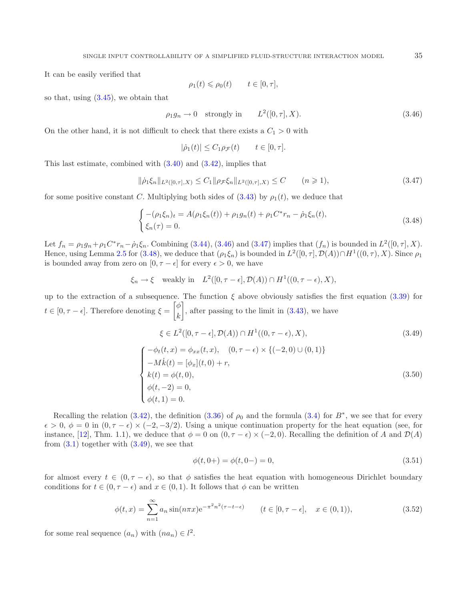<span id="page-15-0"></span>It can be easily verified that

<span id="page-15-2"></span><span id="page-15-1"></span>
$$
\rho_1(t) \leqslant \rho_0(t) \qquad t \in [0, \tau],
$$

so that, using  $(3.45)$ , we obtain that

$$
\rho_1 g_n \to 0 \quad \text{strongly in} \qquad L^2([0, \tau], X). \tag{3.46}
$$

On the other hand, it is not difficult to check that there exists a  $C_1 > 0$  with

<span id="page-15-4"></span>
$$
|\dot{\rho}_1(t)| \le C_1 \rho_{\mathcal{F}}(t) \qquad t \in [0, \tau].
$$

This last estimate, combined with [\(3.40\)](#page-14-6) and [\(3.42\)](#page-14-4), implies that

$$
\|\dot{\rho}_1\xi_n\|_{L^2([0,\tau],X)} \le C_1 \|\rho_{\mathcal{F}}\xi_n\|_{L^2([0,\tau],X)} \le C \qquad (n \ge 1),
$$
\n(3.47)

for some positive constant C. Multiplying both sides of  $(3.43)$  by  $\rho_1(t)$ , we deduce that

$$
\begin{cases}\n-(\rho_1\xi_n)_t = A(\rho_1\xi_n(t)) + \rho_1 g_n(t) + \rho_1 C^* r_n - \dot{\rho}_1\xi_n(t), \\
\xi_n(\tau) = 0.\n\end{cases}
$$
\n(3.48)

Let  $f_n = \rho_1 g_n + \rho_1 C^* r_n - \rho_1 \xi_n$ . Combining [\(3.44\)](#page-14-8), [\(3.46\)](#page-15-0) and [\(3.47\)](#page-15-1) implies that  $(f_n)$  is bounded in  $L^2([0, \tau], X)$ . Hence, using Lemma [2.5](#page-5-1) for [\(3.48\)](#page-15-2), we deduce that  $(\rho_1\xi_n)$  is bounded in  $L^2([0, \tau], \mathcal{D}(A)) \cap H^1((0, \tau), X)$ . Since  $\rho_1$ is bounded away from zero on  $[0, \tau - \epsilon]$  for every  $\epsilon > 0$ , we have

$$
\xi_n \to \xi
$$
 weakly in  $L^2([0, \tau - \epsilon], \mathcal{D}(A)) \cap H^1((0, \tau - \epsilon), X),$ 

up to the extraction of a subsequence. The function  $\xi$  above obviously satisfies the first equation [\(3.39\)](#page-14-2) for  $t \in [0, \tau - \epsilon]$ . Therefore denoting  $\xi =$  $\lceil \phi$ k T , after passing to the limit in  $(3.43)$ , we have  $\xi \in L^2([0, \tau - \epsilon], \mathcal{D}(A)) \cap H^1((0, \tau - \epsilon), X),$ (3.49)

<span id="page-15-5"></span>
$$
\begin{cases}\n-\phi_t(t,x) = \phi_{xx}(t,x), & (0, \tau - \epsilon) \times \{(-2,0) \cup (0,1)\} \\
-M\dot{k}(t) = [\phi_x](t,0) + r, \\
k(t) = \phi(t,0), \\
\phi(t,-2) = 0, \\
\phi(t,1) = 0.\n\end{cases}
$$
\n(3.50)

Recalling the relation [\(3.42\)](#page-14-4), the definition [\(3.36\)](#page-14-1) of  $\rho_0$  and the formula [\(3.4\)](#page-9-3) for B<sup>∗</sup>, we see that for every  $\epsilon > 0$ ,  $\phi = 0$  in  $(0, \tau - \epsilon) \times (-2, -3/2)$ . Using a unique continuation property for the heat equation (see, for instance, [\[12](#page-22-16)], Thm. 1.1), we deduce that  $\phi = 0$  on  $(0, \tau - \epsilon) \times (-2, 0)$ . Recalling the definition of A and  $\mathcal{D}(A)$ from  $(3.1)$  together with  $(3.49)$ , we see that

<span id="page-15-6"></span>
$$
\phi(t, 0+) = \phi(t, 0-) = 0,\tag{3.51}
$$

for almost every  $t \in (0, \tau - \epsilon)$ , so that  $\phi$  satisfies the heat equation with homogeneous Dirichlet boundary conditions for  $t \in (0, \tau - \epsilon)$  and  $x \in (0, 1)$ . It follows that  $\phi$  can be written

$$
\phi(t,x) = \sum_{n=1}^{\infty} a_n \sin(n\pi x) e^{-\pi^2 n^2 (\tau - t - \epsilon)} \qquad (t \in [0, \tau - \epsilon], \quad x \in (0,1)),
$$
\n(3.52)

for some real sequence  $(a_n)$  with  $(na_n) \in l^2$ .

<span id="page-15-3"></span>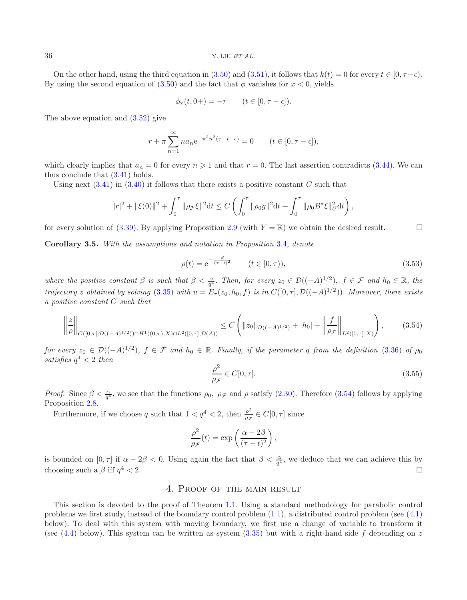On the other hand, using the third equation in [\(3.50\)](#page-15-4) and [\(3.51\)](#page-15-5), it follows that  $k(t) = 0$  for every  $t \in [0, \tau - \epsilon)$ . By using the second equation of  $(3.50)$  and the fact that φ vanishes for  $x < 0$ , yields

<span id="page-16-3"></span>
$$
\phi_x(t, 0+) = -r \qquad (t \in [0, \tau - \epsilon]).
$$

The above equation and [\(3.52\)](#page-15-6) give

$$
r + \pi \sum_{n=1}^{\infty} n a_n e^{-\pi^2 n^2 (\tau - t - \epsilon)} = 0 \qquad (t \in [0, \tau - \epsilon]),
$$

which clearly implies that  $a_n = 0$  for every  $n \geq 1$  and that  $r = 0$ . The last assertion contradicts [\(3.44\)](#page-14-8). We can thus conclude that [\(3.41\)](#page-14-3) holds.

Using next  $(3.41)$  in  $(3.40)$  it follows that there exists a positive constant C such that

<span id="page-16-2"></span>
$$
|r|^2 + \|\xi(0)\|^2 + \int_0^\tau \|\rho \mathcal{F} \xi\|^2 dt \le C \left( \int_0^\tau \|\rho_0 g\|^2 dt + \int_0^\tau \|\rho_0 B^* \xi\|_{U}^2 dt \right),
$$

<span id="page-16-1"></span>for every solution of [\(3.39\)](#page-14-2). By applying Proposition [2.9](#page-8-2) (with  $Y = \mathbb{R}$ ) we obtain the desired result.

<span id="page-16-4"></span>**Corollary 3.5.** *With the assumptions and notation in Proposition* [3.4](#page-13-1)*, denote*

$$
\rho(t) = e^{-\frac{\beta}{(\tau - t)^2}} \qquad (t \in [0, \tau)),
$$
\n(3.53)

*where the positive constant*  $\beta$  *is such that*  $\beta < \frac{\alpha}{q^4}$ *. Then, for every*  $z_0 \in \mathcal{D}((-A)^{1/2})$ *,*  $f \in \mathcal{F}$  *and*  $h_0 \in \mathbb{R}$ *, the trajectory* z *obtained by solving* [\(3.35\)](#page-13-6) *with*  $u = E_\tau(z_0, h_0, f)$  *is in*  $C([0, \tau], \mathcal{D}((-A)^{1/2}))$ *. Moreover, there exists a positive constant* C *such that*

$$
\left\| \frac{z}{\rho} \right\|_{C([0,\tau];\mathcal{D}((-A)^{1/2})) \cap H^1((0,\tau),X) \cap L^2([0,\tau],\mathcal{D}(A))} \leq C \left( \|z_0\|_{\mathcal{D}((-A)^{1/2})} + |h_0| + \left\| \frac{f}{\rho \mathcal{F}} \right\|_{L^2([0,\tau],X)} \right),\tag{3.54}
$$

*for every*  $z_0 \in \mathcal{D}((-A)^{1/2})$ *,*  $f \in \mathcal{F}$  *and*  $h_0 \in \mathbb{R}$ *. Finally, if the parameter* q *from the definition* [\(3.36\)](#page-14-1) *of*  $\rho_0$  $satisfies q<sup>4</sup> < 2 then$ 

$$
\frac{\rho^2}{\rho_{\mathcal{F}}} \in C[0, \tau].\tag{3.55}
$$

*Proof.* Since  $\beta < \frac{\alpha}{q^4}$ , we see that the functions  $\rho_0$ ,  $\rho_{\mathcal{F}}$  and  $\rho$  satisfy [\(2.30\)](#page-7-3). Therefore [\(3.54\)](#page-16-2) follows by applying Proposition [2.8.](#page-7-5)

Furthermore, if we choose q such that  $1 < q^4 < 2$ , then  $\frac{\rho^2}{\rho_{\mathcal{F}}} \in C[0, \tau]$  since

$$
\frac{\rho^2}{\rho_{\mathcal{F}}}(t) = \exp\left(\frac{\alpha - 2\beta}{(\tau - t)^2}\right),\,
$$

<span id="page-16-0"></span>is bounded on  $[0, \tau]$  if  $\alpha - 2\beta < 0$ . Using again the fact that  $\beta < \frac{\alpha}{q^4}$ , we deduce that we can achieve this by choosing such a β iff  $q^4 < 2$ .

# 4. Proof of the main result

This section is devoted to the proof of Theorem [1.1.](#page-1-0) Using a standard methodology for parabolic control problems we first study, instead of the boundary control problem [\(1.1\)](#page-0-0), a distributed control problem (see [\(4.1\)](#page-17-0) below). To deal with this system with moving boundary, we first use a change of variable to transform it (see [\(4.4\)](#page-17-1) below). This system can be written as system  $(3.35)$  but with a right-hand side f depending on z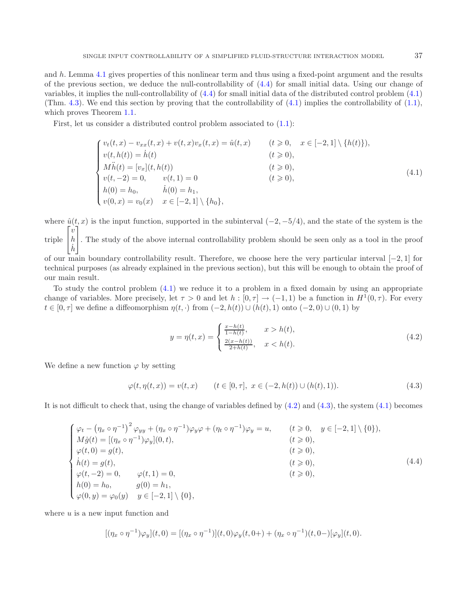and h. Lemma [4.1](#page-18-0) gives properties of this nonlinear term and thus using a fixed-point argument and the results of the previous section, we deduce the null-controllability of  $(4.4)$  for small initial data. Using our change of variables, it implies the null-controllability of [\(4.4\)](#page-17-1) for small initial data of the distributed control problem [\(4.1\)](#page-17-0) (Thm. [4.3\)](#page-21-0). We end this section by proving that the controllability of  $(4.1)$  implies the controllability of  $(1.1)$ , which proves Theorem [1.1.](#page-1-0)

First, let us consider a distributed control problem associated to  $(1.1)$ :

<span id="page-17-0"></span>
$$
\begin{cases}\nv_t(t,x) - v_{xx}(t,x) + v(t,x)v_x(t,x) = \hat{u}(t,x) & (t \geq 0, \quad x \in [-2,1] \setminus \{h(t)\}), \\
v(t,h(t)) = \dot{h}(t) & (t \geq 0), \\
M\ddot{h}(t) = [v_x](t,h(t)) & (t \geq 0), \\
v(t,-2) = 0, \quad v(t,1) = 0 & (t \geq 0), \\
h(0) = h_0, \quad \dot{h}(0) = h_1, \\
v(0,x) = v_0(x) & x \in [-2,1] \setminus \{h_0\},\n\end{cases} \tag{4.1}
$$

where  $\hat{u}(t, x)$  is the input function, supported in the subinterval  $(-2, -5/4)$ , and the state of the system is the triple  $\sqrt{ }$  $\overline{a}$  $\overline{v}$ h ⎤ ⎦. The study of the above internal controllability problem should be seen only as a tool in the proof

<span id="page-17-3"></span> $\dot{h}$ of our main boundary controllability result. Therefore, we choose here the very particular interval [−2, 1] for technical purposes (as already explained in the previous section), but this will be enough to obtain the proof of our main result.

<span id="page-17-1"></span>To study the control problem [\(4.1\)](#page-17-0) we reduce it to a problem in a fixed domain by using an appropriate change of variables. More precisely, let  $\tau > 0$  and let  $h : [0, \tau] \to (-1, 1)$  be a function in  $H^1(0, \tau)$ . For every  $t \in [0, \tau]$  we define a diffeomorphism  $\eta(t, \cdot)$  from  $(-2, h(t)) \cup (h(t), 1)$  onto  $(-2, 0) \cup (0, 1)$  by

<span id="page-17-2"></span>
$$
y = \eta(t, x) = \begin{cases} \frac{x - h(t)}{1 - h(t)}, & x > h(t), \\ \frac{2(x - h(t))}{2 + h(t)}, & x < h(t). \end{cases}
$$
 (4.2)

We define a new function  $\varphi$  by setting

$$
\varphi(t, \eta(t, x)) = v(t, x) \qquad (t \in [0, \tau], \ x \in (-2, h(t)) \cup (h(t), 1)). \tag{4.3}
$$

It is not difficult to check that, using the change of variables defined by [\(4.2\)](#page-17-2) and [\(4.3\)](#page-17-3), the system [\(4.1\)](#page-17-0) becomes

$$
\begin{cases}\n\varphi_t - (\eta_x \circ \eta^{-1})^2 \varphi_{yy} + (\eta_x \circ \eta^{-1}) \varphi_y \varphi + (\eta_t \circ \eta^{-1}) \varphi_y = u, & (t \ge 0, y \in [-2, 1] \setminus \{0\}), \\
M\dot{g}(t) = [(\eta_x \circ \eta^{-1}) \varphi_y](0, t), & (t \ge 0), \\
\varphi(t, 0) = g(t), & (t \ge 0), \\
\dot{h}(t) = g(t), & (t \ge 0), \\
\varphi(t, -2) = 0, & \varphi(t, 1) = 0, \\
h(0) = h_0, & g(0) = h_1, \\
\varphi(0, y) = \varphi_0(y) & y \in [-2, 1] \setminus \{0\},\n\end{cases} \tag{4.4}
$$

where  $u$  is a new input function and

$$
[(\eta_x \circ \eta^{-1})\varphi_y](t,0) = [(\eta_x \circ \eta^{-1})](t,0)\varphi_y(t,0+) + (\eta_x \circ \eta^{-1})(t,0-)[\varphi_y](t,0).
$$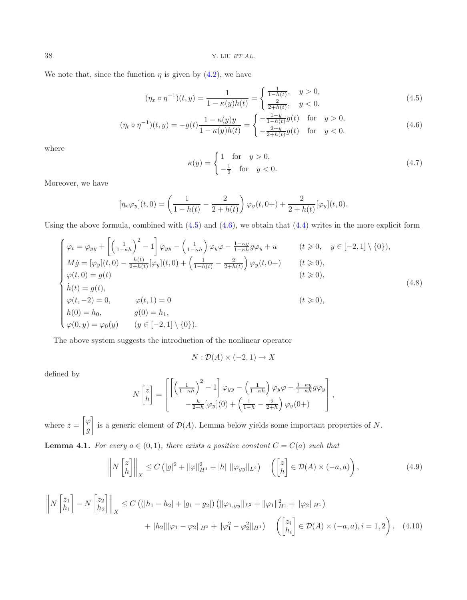38 Y. LIU *ET AL.*

We note that, since the function  $\eta$  is given by [\(4.2\)](#page-17-2), we have

<span id="page-18-1"></span>
$$
(\eta_x \circ \eta^{-1})(t, y) = \frac{1}{1 - \kappa(y)h(t)} = \begin{cases} \frac{1}{1 - h(t)}, & y > 0, \\ \frac{2}{2 + h(t)}, & y < 0. \end{cases}
$$
(4.5)

$$
(\eta_t \circ \eta^{-1})(t, y) = -g(t)\frac{1 - \kappa(y)y}{1 - \kappa(y)h(t)} = \begin{cases} -\frac{1 - y}{1 - h(t)}g(t) & \text{for } y > 0, \\ -\frac{2 + y}{2 + h(t)}g(t) & \text{for } y < 0. \end{cases}
$$
(4.6)

where

<span id="page-18-5"></span><span id="page-18-2"></span>
$$
\kappa(y) = \begin{cases} 1 & \text{for } y > 0, \\ -\frac{1}{2} & \text{for } y < 0. \end{cases}
$$
 (4.7)

Moreover, we have

$$
[\eta_x \varphi_y](t,0) = \left(\frac{1}{1-h(t)} - \frac{2}{2+h(t)}\right) \varphi_y(t,0+) + \frac{2}{2+h(t)}[\varphi_y](t,0).
$$

Using the above formula, combined with  $(4.5)$  and  $(4.6)$ , we obtain that  $(4.4)$  writes in the more explicit form

$$
\begin{cases}\n\varphi_t = \varphi_{yy} + \left[ \left( \frac{1}{1 - \kappa h} \right)^2 - 1 \right] \varphi_{yy} - \left( \frac{1}{1 - \kappa h} \right) \varphi_y \varphi - \frac{1 - \kappa y}{1 - \kappa h} g \varphi_y + u & (t \geqslant 0, \quad y \in [-2, 1] \setminus \{0\}), \\
M\dot{g} = [\varphi_y](t, 0) - \frac{h(t)}{2 + h(t)} [\varphi_y](t, 0) + \left( \frac{1}{1 - h(t)} - \frac{2}{2 + h(t)} \right) \varphi_y(t, 0+) & (t \geqslant 0), \\
\varphi(t, 0) = g(t) & (t \geqslant 0), \\
\dot{h}(t) = g(t), \\
\varphi(t, -2) = 0, \qquad \varphi(t, 1) = 0 \\
h(0) = h_0, \qquad g(0) = h_1, \\
\varphi(0, y) = \varphi_0(y) \qquad (y \in [-2, 1] \setminus \{0\}).\n\end{cases} \tag{4.8}
$$

The above system suggests the introduction of the nonlinear operator

<span id="page-18-4"></span><span id="page-18-3"></span>
$$
N: \mathcal{D}(A) \times (-2,1) \to X
$$

defined by

$$
N\begin{bmatrix} z \\ h \end{bmatrix} = \begin{bmatrix} \left[ \left( \frac{1}{1-\kappa h} \right)^2 - 1 \right] \varphi_{yy} - \left( \frac{1}{1-\kappa h} \right) \varphi_y \varphi - \frac{1-\kappa y}{1-\kappa h} g \varphi_y \\ -\frac{h}{2+h} [\varphi_y](0) + \left( \frac{1}{1-h} - \frac{2}{2+h} \right) \varphi_y(0+) \end{bmatrix},
$$

where  $z =$  $\lceil \varphi \rceil$ g 1 is a generic element of  $\mathcal{D}(A)$ . Lemma below yields some important properties of N.

<span id="page-18-0"></span>**Lemma 4.1.** *For every*  $a \in (0,1)$ *, there exists a positive constant*  $C = C(a)$  *such that* 

$$
\left\| N \begin{bmatrix} z \\ h \end{bmatrix} \right\|_X \le C \left( |g|^2 + \|\varphi\|_{H^1}^2 + |h| \|\varphi_{yy}\|_{L^2} \right) \quad \left( \begin{bmatrix} z \\ h \end{bmatrix} \in \mathcal{D}(A) \times (-a, a) \right),\tag{4.9}
$$

$$
\left\| N \begin{bmatrix} z_1 \\ h_1 \end{bmatrix} - N \begin{bmatrix} z_2 \\ h_2 \end{bmatrix} \right\|_X \le C \left( (|h_1 - h_2| + |g_1 - g_2|) \left( \|\varphi_{1,yy}\|_{L^2} + \|\varphi_1\|_{H^1}^2 + \|\varphi_2\|_{H^1} \right) + |h_2| \|\varphi_1 - \varphi_2\|_{H^2} + \|\varphi_1^2 - \varphi_2^2\|_{H^1} \right) \left( \begin{bmatrix} z_i \\ h_i \end{bmatrix} \in \mathcal{D}(A) \times (-a, a), i = 1, 2 \right). \tag{4.10}
$$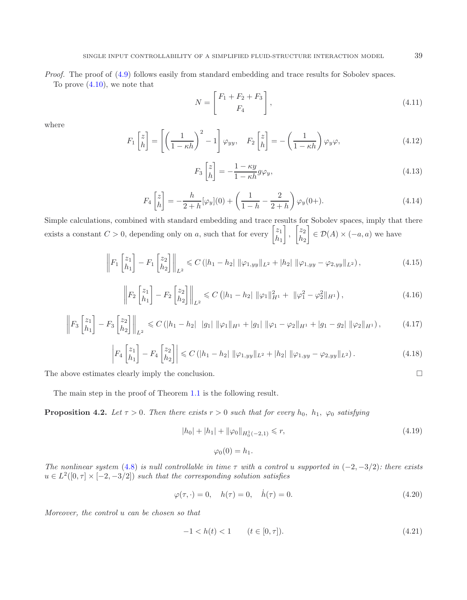*Proof.* The proof of  $(4.9)$  follows easily from standard embedding and trace results for Sobolev spaces. To prove [\(4.10\)](#page-18-4), we note that

$$
N = \begin{bmatrix} F_1 + F_2 + F_3 \\ F_4 \end{bmatrix},
$$
\n(4.11)

where

$$
F_1\begin{bmatrix} z \\ h \end{bmatrix} = \left[ \left( \frac{1}{1 - \kappa h} \right)^2 - 1 \right] \varphi_{yy}, \quad F_2\begin{bmatrix} z \\ h \end{bmatrix} = -\left( \frac{1}{1 - \kappa h} \right) \varphi_y \varphi,
$$
\n(4.12)

$$
F_3 \begin{bmatrix} z \\ h \end{bmatrix} = -\frac{1 - \kappa y}{1 - \kappa h} g \varphi_y,\tag{4.13}
$$

$$
F_4\begin{bmatrix} z \\ h \end{bmatrix} = -\frac{h}{2+h}[\varphi_y](0) + \left(\frac{1}{1-h} - \frac{2}{2+h}\right)\varphi_y(0+). \tag{4.14}
$$

Simple calculations, combined with standard embedding and trace results for Sobolev spaces, imply that there exists a constant  $C > 0$ , depending only on a, such that for every  $\begin{bmatrix} z_1 \\ h \end{bmatrix}$  $h_1$ 1 ,  $\lceil z_2 \rceil$  $h<sub>2</sub>$ 1  $\in \mathcal{D}(A) \times (-a, a)$  we have

$$
\left\| F_1 \begin{bmatrix} z_1 \\ h_1 \end{bmatrix} - F_1 \begin{bmatrix} z_2 \\ h_2 \end{bmatrix} \right\|_{L^2} \leqslant C \left( |h_1 - h_2| \|\varphi_{1,yy}\|_{L^2} + |h_2| \|\varphi_{1,yy} - \varphi_{2,yy}\|_{L^2} \right), \tag{4.15}
$$

$$
\left\| F_2 \begin{bmatrix} z_1 \\ h_1 \end{bmatrix} - F_2 \begin{bmatrix} z_2 \\ h_2 \end{bmatrix} \right\|_{L^2} \leqslant C \left( |h_1 - h_2| \|\varphi_1\|_{H^1}^2 + \|\varphi_1^2 - \varphi_2^2\|_{H^1} \right), \tag{4.16}
$$

$$
\left\| F_3 \begin{bmatrix} z_1 \\ h_1 \end{bmatrix} - F_3 \begin{bmatrix} z_2 \\ h_2 \end{bmatrix} \right\|_{L^2} \leqslant C \left( |h_1 - h_2| \ |g_1| \ ||\varphi_1||_{H^1} + |g_1| \ ||\varphi_1 - \varphi_2||_{H^1} + |g_1 - g_2| \ ||\varphi_2||_{H^1} \right), \tag{4.17}
$$

$$
\left| F_4 \begin{bmatrix} z_1 \\ h_1 \end{bmatrix} - F_4 \begin{bmatrix} z_2 \\ h_2 \end{bmatrix} \right| \leqslant C \left( |h_1 - h_2| \, \|\varphi_{1,yy}\|_{L^2} + |h_2| \, \|\varphi_{1,yy} - \varphi_{2,yy}\|_{L^2} \right). \tag{4.18}
$$

The above estimates clearly imply the conclusion.  $\Box$ 

The main step in the proof of Theorem [1.1](#page-1-0) is the following result.

<span id="page-19-2"></span>**Proposition 4.2.** *Let*  $\tau > 0$ *. Then there exists*  $r > 0$  *such that for every*  $h_0$ ,  $h_1$ ,  $\varphi_0$  *satisfying* 

<span id="page-19-0"></span>
$$
|h_0| + |h_1| + \|\varphi_0\|_{H_0^1(-2,1)} \le r,\tag{4.19}
$$

$$
\varphi_0(0) = h_1.
$$

*The nonlinear system* [\(4.8\)](#page-18-5) *is null controllable in time*  $\tau$  *with a control* u *supported in* (−2, −3/2)*: there exists*  $u \in L^2([0, \tau] \times [-2, -3/2])$  *such that the corresponding solution satisfies* 

$$
\varphi(\tau, \cdot) = 0, \quad h(\tau) = 0, \quad \dot{h}(\tau) = 0.
$$
\n(4.20)

*Moreover, the control* u *can be chosen so that*

$$
-1 < h(t) < 1 \qquad (t \in [0, \tau]). \tag{4.21}
$$

<span id="page-19-1"></span>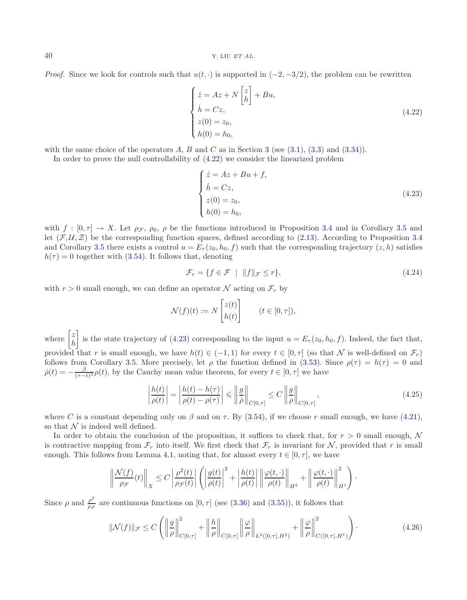*Proof.* Since we look for controls such that  $u(t, \cdot)$  is supported in  $(-2, -3/2)$ , the problem can be rewritten

<span id="page-20-1"></span><span id="page-20-0"></span>
$$
\begin{cases}\n\dot{z} = Az + N \begin{bmatrix} z \\ h \end{bmatrix} + Bu, \\
\dot{h} = Cz, \\
z(0) = z_0, \\
h(0) = h_0,\n\end{cases}
$$
\n(4.22)

with the same choice of the operators A, B and C as in Section [3](#page-9-0) (see  $(3.1)$ ,  $(3.3)$  and  $(3.34)$ ). In order to prove the null controllability of [\(4.22\)](#page-20-0) we consider the linearized problem

$$
\begin{cases}\n\dot{z} = Az + Bu + f, \\
\dot{h} = Cz, \\
z(0) = z_0, \\
h(0) = h_0,\n\end{cases}
$$
\n(4.23)

with  $f : [0, \tau] \to X$ . Let  $\rho_{\mathcal{F}}$ ,  $\rho_0$ ,  $\rho$  be the functions introduced in Proposition [3.4](#page-13-1) and in Corollary [3.5](#page-16-1) and let  $(\mathcal{F}, \mathcal{U}, \mathcal{Z})$  be the corresponding function spaces, defined according to [\(2.13\)](#page-4-3). According to Proposition [3.4](#page-13-1) and Corollary [3.5](#page-16-1) there exists a control  $u = E_{\tau}(z_0, h_0, f)$  such that the corresponding trajectory  $(z, h)$  satisfies  $h(\tau) = 0$  together with [\(3.54\)](#page-16-2). It follows that, denoting

<span id="page-20-2"></span>
$$
\mathcal{F}_r = \{ f \in \mathcal{F} \mid ||f||_{\mathcal{F}} \le r \},\tag{4.24}
$$

with  $r > 0$  small enough, we can define an operator N acting on  $\mathcal{F}_r$  by

$$
\mathcal{N}(f)(t) := N \begin{bmatrix} z(t) \\ h(t) \end{bmatrix} \qquad (t \in [0, \tau]),
$$

where  $\begin{bmatrix} z \\ h \end{bmatrix}$ h 1 is the state trajectory of [\(4.23\)](#page-20-1) corresponding to the input  $u = E_\tau(z_0, h_0, f)$ . Indeed, the fact that, provided that r is small enough, we have  $h(t) \in (-1,1)$  for every  $t \in [0,\tau]$  (so that N is well-defined on  $\mathcal{F}_r$ ) follows from Corollary [3.5.](#page-16-1) More precisely, let  $\rho$  the function defined in [\(3.53\)](#page-16-3). Since  $\rho(\tau) = h(\tau) = 0$  and  $\dot{\rho}(t) = -\frac{\beta}{(\tau-t)^3} \rho(t)$ , by the Cauchy mean value theorem, for every  $t \in [0, \tau]$  we have

<span id="page-20-3"></span>
$$
\left|\frac{h(t)}{\rho(t)}\right| = \left|\frac{h(t) - h(\tau)}{\rho(t) - \rho(\tau)}\right| \le \left\|\frac{g}{\dot{\rho}}\right\|_{C[0,\tau]} \le C \left\|\frac{g}{\rho}\right\|_{C[0,\tau]},\tag{4.25}
$$

where C is a constant depending only on  $\beta$  and on  $\tau$ . By [\(3.54\)](#page-16-2), if we choose r small enough, we have [\(4.21\)](#page-19-0), so that  $\mathcal N$  is indeed well defined.

In order to obtain the conclusion of the proposition, it suffices to check that, for  $r > 0$  small enough, N is contractive mapping from  $\mathcal{F}_r$  into itself. We first check that  $\mathcal{F}_r$  is invariant for N, provided that r is small enough. This follows from Lemma [4.1,](#page-18-0) noting that, for almost every  $t \in [0, \tau]$ , we have

$$
\left\|\frac{\mathcal{N}(f)}{\rho_{\mathcal{F}}}(t)\right\|_{X} \leq C \left|\frac{\rho^{2}(t)}{\rho_{\mathcal{F}}(t)}\right| \left(\left|\frac{g(t)}{\rho(t)}\right|^{2} + \left|\frac{h(t)}{\rho(t)}\right|\left\|\frac{\varphi(t,\cdot)}{\rho(t)}\right\|_{H^{2}} + \left\|\frac{\varphi(t,\cdot)}{\rho(t)}\right\|_{H^{1}}^{2}\right).
$$

Since  $\rho$  and  $\frac{\rho^2}{\rho \tau}$  are continuous functions on [0,  $\tau$ ] (see [\(3.36\)](#page-14-1) and [\(3.55\)](#page-16-4)), it follows that

$$
\|\mathcal{N}(f)\|_{\mathcal{F}} \le C \left( \left\|\frac{g}{\rho}\right\|_{C[0,\tau]}^2 + \left\|\frac{h}{\rho}\right\|_{C[0,\tau]} \left\|\frac{\varphi}{\rho}\right\|_{L^2([0,\tau],H^2)} + \left\|\frac{\varphi}{\rho}\right\|_{C([0,\tau],H^1)}^2 \right). \tag{4.26}
$$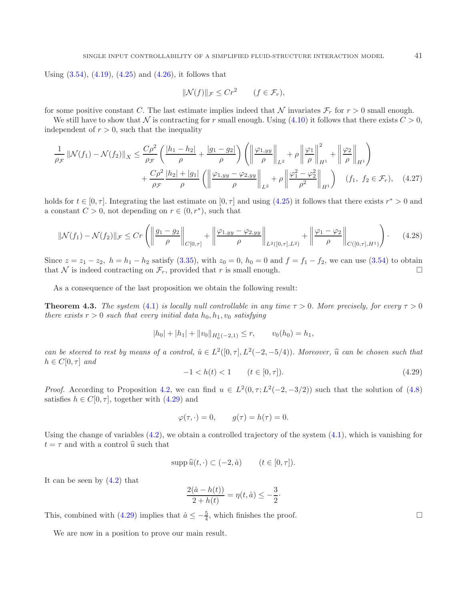Using  $(3.54)$ ,  $(4.19)$ ,  $(4.25)$  and  $(4.26)$ , it follows that

$$
\|\mathcal{N}(f)\|_{\mathcal{F}} \le Cr^2 \qquad (f \in \mathcal{F}_r),
$$

for some positive constant C. The last estimate implies indeed that N invariates  $\mathcal{F}_r$  for  $r > 0$  small enough.

We still have to show that N is contracting for r small enough. Using  $(4.10)$  it follows that there exists  $C > 0$ , independent of  $r > 0$ , such that the inequality

$$
\frac{1}{\rho_{\mathcal{F}}} \left\| \mathcal{N}(f_1) - \mathcal{N}(f_2) \right\|_{X} \le \frac{C\rho^2}{\rho_{\mathcal{F}}} \left( \frac{|h_1 - h_2|}{\rho} + \frac{|g_1 - g_2|}{\rho} \right) \left( \left\| \frac{\varphi_{1,yy}}{\rho} \right\|_{L^2} + \rho \left\| \frac{\varphi_1}{\rho} \right\|_{H^1}^2 + \left\| \frac{\varphi_2}{\rho} \right\|_{H^1} \right) + \frac{C\rho^2}{\rho_{\mathcal{F}}} \frac{|h_2| + |g_1|}{\rho} \left( \left\| \frac{\varphi_{1,yy} - \varphi_{2,yy}}{\rho} \right\|_{L^2} + \rho \left\| \frac{\varphi_1^2 - \varphi_2^2}{\rho^2} \right\|_{H^1} \right) \quad (f_1, \ f_2 \in \mathcal{F}_r), \quad (4.27)
$$

holds for  $t \in [0, \tau]$ . Integrating the last estimate on  $[0, \tau]$  and using [\(4.25\)](#page-20-2) it follows that there exists  $r^* > 0$  and a constant  $C > 0$ , not depending on  $r \in (0, r^*)$ , such that

$$
\|\mathcal{N}(f_1) - \mathcal{N}(f_2)\|_{\mathcal{F}} \le Cr\left(\left\|\frac{g_1 - g_2}{\rho}\right\|_{C[0,\tau]} + \left\|\frac{\varphi_{1,yy} - \varphi_{2,yy}}{\rho}\right\|_{L^2([0,\tau],L^2)} + \left\|\frac{\varphi_1 - \varphi_2}{\rho}\right\|_{C([0,\tau],H^1)}\right). \tag{4.28}
$$

<span id="page-21-1"></span>Since  $z = z_1 - z_2$ ,  $h = h_1 - h_2$  satisfy [\(3.35\)](#page-13-6), with  $z_0 = 0$ ,  $h_0 = 0$  and  $f = f_1 - f_2$ , we can use [\(3.54\)](#page-16-2) to obtain that N is indeed contracting on  $\mathcal{F}_r$ , provided that r is small enough.

As a consequence of the last proposition we obtain the following result:

<span id="page-21-0"></span>**Theorem 4.3.** *The system* [\(4.1\)](#page-17-0) *is locally null controllable in any time*  $\tau > 0$ *. More precisely, for every*  $\tau > 0$ *there exists*  $r > 0$  *such that every initial data*  $h_0, h_1, v_0$  *satisfying* 

$$
|h_0| + |h_1| + ||v_0||_{H_0^1(-2,1)} \le r, \qquad v_0(h_0) = h_1,
$$

*can be steered to rest by means of a control,*  $\hat{u} \in L^2([0, \tau], L^2(-2, -5/4))$ *. Moreover,*  $\hat{u}$  *can be chosen such that*  $h \in C[0, \tau]$  and

$$
-1 < h(t) < 1 \qquad (t \in [0, \tau]). \tag{4.29}
$$

*Proof.* According to Proposition [4.2,](#page-19-2) we can find  $u \in L^2(0, \tau; L^2(-2, -3/2))$  such that the solution of [\(4.8\)](#page-18-5) satisfies  $h \in C[0, \tau]$ , together with  $(4.29)$  and

$$
\varphi(\tau, \cdot) = 0, \qquad g(\tau) = h(\tau) = 0.
$$

Using the change of variables  $(4.2)$ , we obtain a controlled trajectory of the system  $(4.1)$ , which is vanishing for  $t = \tau$  and with a control  $\hat{u}$  such that

$$
\operatorname{supp}\hat{u}(t,\cdot)\subset(-2,\hat{a})\qquad(t\in[0,\tau]).
$$

It can be seen by  $(4.2)$  that

$$
\frac{2(\hat{a} - h(t))}{2 + h(t)} = \eta(t, \hat{a}) \le -\frac{3}{2}.
$$

This, combined with [\(4.29\)](#page-21-1) implies that  $\hat{a} \leq -\frac{5}{4}$ , which finishes the proof.

We are now in a position to prove our main result.